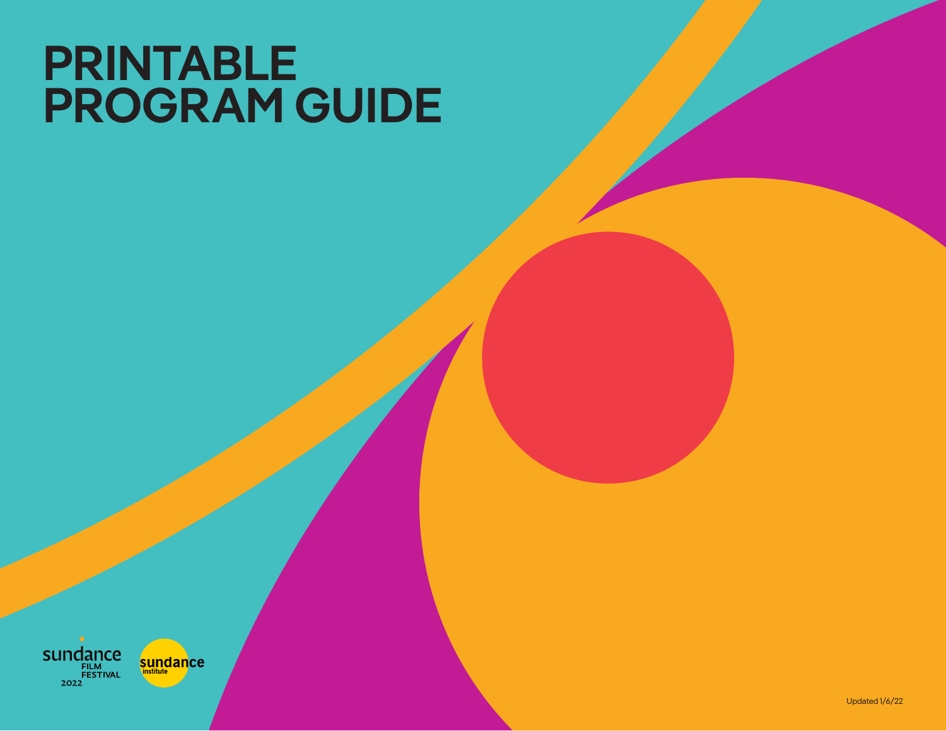# **PRINTABLE PROGRAM GUIDE**

**sundance** 2022

sundance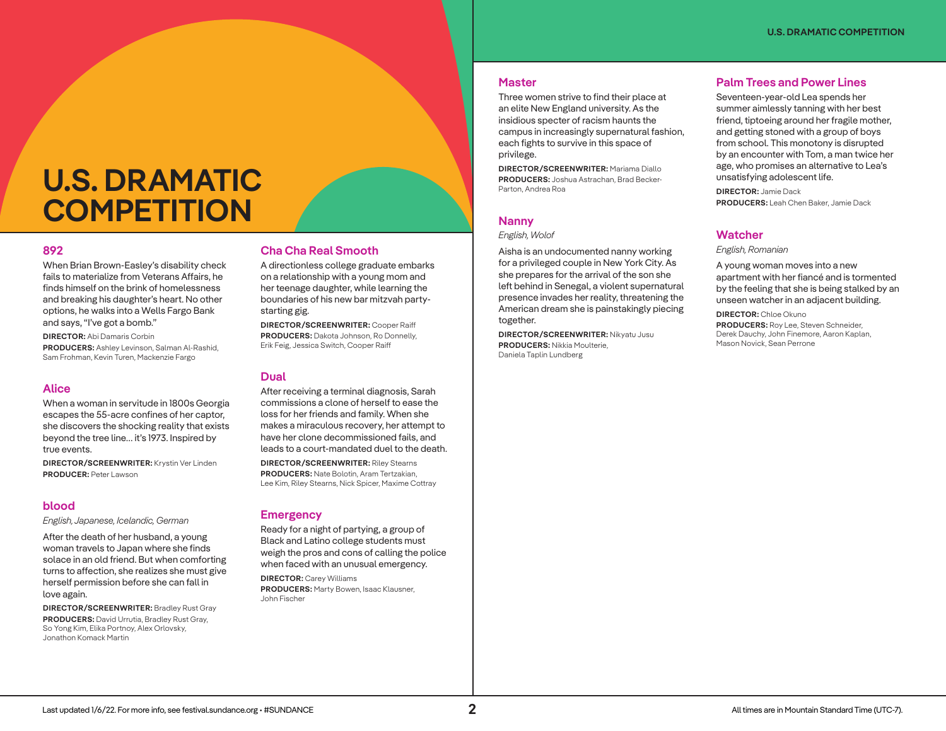#### **Master**

Three women strive to find their place at an elite New England university. As the insidious specter of racism haunts the campus in increasingly supernatural fashion, each fights to survive in this space of privilege.

**DIRECTOR/SCREENWRITER:** Mariama Diallo **PRODUCERS:** Joshua Astrachan, Brad Becker-Parton, Andrea Roa

#### **Nanny**

#### *English, Wolof*

Aisha is an undocumented nanny working for a privileged couple in New York City. As she prepares for the arrival of the son she left behind in Senegal, a violent supernatural presence invades her reality, threatening the American dream she is painstakingly piecing together.

**DIRECTOR/SCREENWRITER:** Nikyatu Jusu **PRODUCERS:** Nikkia Moulterie, Daniela Taplin Lundberg

## **Palm Trees and Power Lines**

Seventeen-year-old Lea spends her summer aimlessly tanning with her best friend, tiptoeing around her fragile mother, and getting stoned with a group of boys from school. This monotony is disrupted by an encounter with Tom, a man twice her age, who promises an alternative to Lea's unsatisfying adolescent life.

**DIRECTOR:** Jamie Dack **PRODUCERS:** Leah Chen Baker, Jamie Dack

# **Watcher**

*English, Romanian*

A young woman moves into a new apartment with her fiancé and is tormented by the feeling that she is being stalked by an unseen watcher in an adjacent building.

**DIRECTOR:** Chloe Okuno **PRODUCERS:** Roy Lee, Steven Schneider, Derek Dauchy, John Finemore, Aaron Kaplan, Mason Novick, Sean Perrone

# **U.S. DRAMATIC COMPETITION**

## **892**

When Brian Brown-Easley's disability check fails to materialize from Veterans Affairs, he finds himself on the brink of homelessness and breaking his daughter's heart. No other options, he walks into a Wells Fargo Bank and says, "I've got a bomb."

**DIRECTOR:** Abi Damaris Corbin **PRODUCERS:** Ashley Levinson, Salman Al-Rashid, Sam Frohman, Kevin Turen, Mackenzie Fargo

### **Alice**

When a woman in servitude in 1800s Georgia escapes the 55-acre confines of her captor, she discovers the shocking reality that exists beyond the tree line… it's 1973. Inspired by true events.

**DIRECTOR/SCREENWRITER:** Krystin Ver Linden **PRODUCER:** Peter Lawson

#### **blood**

*English, Japanese, Icelandic, German*

After the death of her husband, a young woman travels to Japan where she finds solace in an old friend. But when comforting turns to affection, she realizes she must give herself permission before she can fall in love again.

**DIRECTOR/SCREENWRITER:** Bradley Rust Gray **PRODUCERS:** David Urrutia, Bradley Rust Gray, So Yong Kim, Elika Portnoy, Alex Orlovsky, Jonathon Komack Martin

# **Cha Cha Real Smooth**

A directionless college graduate embarks on a relationship with a young mom and her teenage daughter, while learning the boundaries of his new bar mitzvah partystarting gig.

**DIRECTOR/SCREENWRITER:** Cooper Raiff **PRODUCERS:** Dakota Johnson, Ro Donnelly, Erik Feig, Jessica Switch, Cooper Raiff

# **Dual**

After receiving a terminal diagnosis, Sarah commissions a clone of herself to ease the loss for her friends and family. When she makes a miraculous recovery, her attempt to have her clone decommissioned fails, and leads to a court-mandated duel to the death. **DIRECTOR/SCREENWRITER:** Riley Stearns **PRODUCERS:** Nate Bolotin, Aram Tertzakian, Lee Kim, Riley Stearns, Nick Spicer, Maxime Cottray

### **Emergency**

Ready for a night of partying, a group of Black and Latino college students must weigh the pros and cons of calling the police when faced with an unusual emergency.

**DIRECTOR:** Carey Williams **PRODUCERS:** Marty Bowen, Isaac Klausner, John Fischer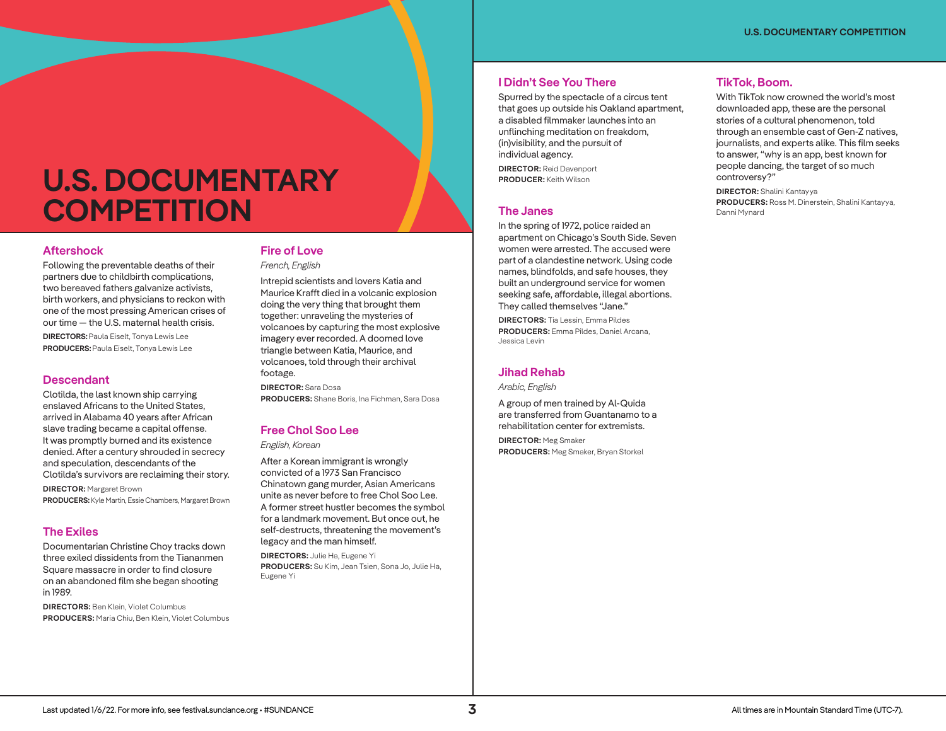# **U.S. DOCUMENTARY COMPETITION**

# **Aftershock**

Following the preventable deaths of their partners due to childbirth complications, two bereaved fathers galvanize activists, birth workers, and physicians to reckon with one of the most pressing American crises of our time — the U.S. maternal health crisis. **DIRECTORS:** Paula Eiselt, Tonya Lewis Lee **PRODUCERS:** Paula Eiselt, Tonya Lewis Lee

# **Descendant**

Clotilda, the last known ship carrying enslaved Africans to the United States, arrived in Alabama 40 years after African slave trading became a capital offense. It was promptly burned and its existence denied. After a century shrouded in secrecy and speculation, descendants of the Clotilda's survivors are reclaiming their story.

**DIRECTOR:** Margaret Brown **PRODUCERS:** Kyle Martin, Essie Chambers, Margaret Brown

# **The Exiles**

Documentarian Christine Choy tracks down three exiled dissidents from the Tiananmen Square massacre in order to find closure on an abandoned film she began shooting in 1989.

**DIRECTORS:** Ben Klein, Violet Columbus **PRODUCERS:** Maria Chiu, Ben Klein, Violet Columbus

# **Fire of Love**

*French, English*

Intrepid scientists and lovers Katia and Maurice Krafft died in a volcanic explosion doing the very thing that brought them together: unraveling the mysteries of volcanoes by capturing the most explosive imagery ever recorded. A doomed love triangle between Katia, Maurice, and volcanoes, told through their archival footage.

**DIRECTOR:** Sara Dosa **PRODUCERS:** Shane Boris, Ina Fichman, Sara Dosa

# **Free Chol Soo Lee**

*English, Korean*

After a Korean immigrant is wrongly convicted of a 1973 San Francisco Chinatown gang murder, Asian Americans unite as never before to free Chol Soo Lee. A former street hustler becomes the symbol for a landmark movement. But once out, he self-destructs, threatening the movement's legacy and the man himself.

**DIRECTORS:** Julie Ha, Eugene Yi **PRODUCERS:** Su Kim, Jean Tsien, Sona Jo, Julie Ha, Eugene Yi

# **I Didn't See You There**

Spurred by the spectacle of a circus tent that goes up outside his Oakland apartment, a disabled filmmaker launches into an unflinching meditation on freakdom, (in)visibility, and the pursuit of individual agency.

**DIRECTOR:** Reid Davenport **PRODUCER:** Keith Wilson

# **The Janes**

In the spring of 1972, police raided an apartment on Chicago's South Side. Seven women were arrested. The accused were part of a clandestine network. Using code names, blindfolds, and safe houses, they built an underground service for women seeking safe, affordable, illegal abortions. They called themselves "Jane."

**DIRECTORS:** Tia Lessin, Emma Pildes **PRODUCERS:** Emma Pildes, Daniel Arcana, Jessica Levin

# **Jihad Rehab**

*Arabic, English*

A group of men trained by Al-Quida are transferred from Guantanamo to a rehabilitation center for extremists. **DIRECTOR:** Meg Smaker **PRODUCERS:** Meg Smaker, Bryan Storkel

# **TikTok, Boom.**

With TikTok now crowned the world's most downloaded app, these are the personal stories of a cultural phenomenon, told through an ensemble cast of Gen-Z natives, journalists, and experts alike. This film seeks to answer, "why is an app, best known for people dancing, the target of so much controversy?"

**DIRECTOR:** Shalini Kantayya **PRODUCERS:** Ross M. Dinerstein, Shalini Kantayya, Danni Mynard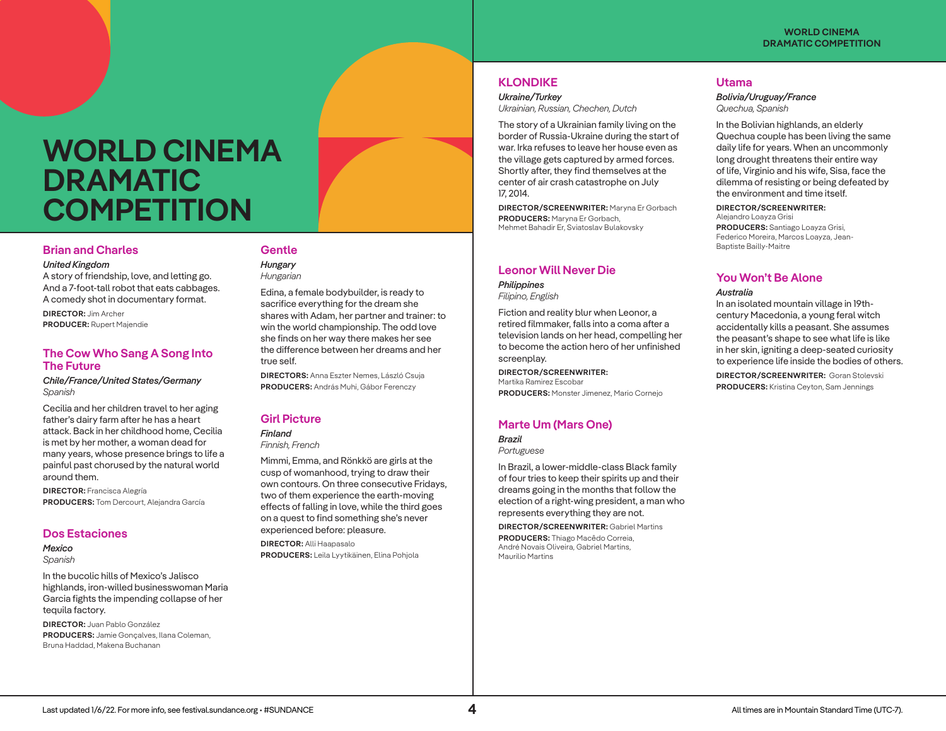# **WORLD CINEMA DRAMATIC COMPETITION**

# **Brian and Charles**

#### *United Kingdom*

A story of friendship, love, and letting go. And a 7-foot-tall robot that eats cabbages. A comedy shot in documentary format.

**DIRECTOR:** Jim Archer **PRODUCER:** Rupert Majendie

# **The Cow Who Sang A Song Into The Future**

*Chile/France/United States/Germany Spanish* 

Cecilia and her children travel to her aging father's dairy farm after he has a heart attack. Back in her childhood home, Cecilia is met by her mother, a woman dead for many years, whose presence brings to life a painful past chorused by the natural world around them.

**DIRECTOR:** Francisca Alegría **PRODUCERS:** Tom Dercourt, Alejandra García

# **Dos Estaciones**

*Mexico Spanish*

In the bucolic hills of Mexico's Jalisco highlands, iron-willed businesswoman Maria Garcia fights the impending collapse of her tequila factory.

**DIRECTOR:** Juan Pablo González **PRODUCERS:** Jamie Gonçalves, Ilana Coleman, Bruna Haddad, Makena Buchanan

# **Gentle**

*Hungary Hungarian*

> Edina, a female bodybuilder, is ready to sacrifice everything for the dream she shares with Adam, her partner and trainer: to win the world championship. The odd love she finds on her way there makes her see the difference between her dreams and her true self.

**DIRECTORS:** Anna Eszter Nemes, László Csuja **PRODUCERS:** András Muhi, Gábor Ferenczy

# **Girl Picture**

*Finland Finnish, French*

Mimmi, Emma, and Rönkkö are girls at the cusp of womanhood, trying to draw their own contours. On three consecutive Fridays, two of them experience the earth-moving effects of falling in love, while the third goes on a quest to find something she's never experienced before: pleasure.

**DIRECTOR:** Alli Haapasalo **PRODUCERS:** Leila Lyytikäinen, Elina Pohjola

# **KLONDIKE**

*Ukraine/Turkey Ukrainian, Russian, Chechen, Dutch*

The story of a Ukrainian family living on the border of Russia-Ukraine during the start of war. Irka refuses to leave her house even as the village gets captured by armed forces. Shortly after, they find themselves at the center of air crash catastrophe on July 17, 2014.

**DIRECTOR/SCREENWRITER:** Maryna Er Gorbach **PRODUCERS:** Maryna Er Gorbach, Mehmet Bahadir Er, Sviatoslav Bulakovsky

### **Leonor Will Never Die**  *Philippines*

*Filipino, English*

Fiction and reality blur when Leonor, a retired filmmaker, falls into a coma after a television lands on her head, compelling her to become the action hero of her unfinished screenplay.

**DIRECTOR/SCREENWRITER:** Martika Ramirez Escobar

**PRODUCERS:** Monster Jimenez, Mario Cornejo

# **Marte Um (Mars One)**

*Brazil Portuguese*

In Brazil, a lower-middle-class Black family of four tries to keep their spirits up and their dreams going in the months that follow the election of a right-wing president, a man who represents everything they are not.

**DIRECTOR/SCREENWRITER:** Gabriel Martins **PRODUCERS:** Thiago Macêdo Correia, André Novais Oliveira, Gabriel Martins, Maurilio Martins

### **Utama**

*Bolivia/Uruguay/France Quechua, Spanish*

In the Bolivian highlands, an elderly Quechua couple has been living the same daily life for years. When an uncommonly long drought threatens their entire way of life, Virginio and his wife, Sisa, face the dilemma of resisting or being defeated by the environment and time itself.

**DIRECTOR/SCREENWRITER:**

Alejandro Loayza Grisi **PRODUCERS:** Santiago Loayza Grisi, Federico Moreira, Marcos Loayza, Jean-Baptiste Bailly-Maitre

# **You Won't Be Alone**

#### *Australia*

In an isolated mountain village in 19thcentury Macedonia, a young feral witch accidentally kills a peasant. She assumes the peasant's shape to see what life is like in her skin, igniting a deep-seated curiosity to experience life inside the bodies of others.

**DIRECTOR/SCREENWRITER:** Goran Stolevski **PRODUCERS:** Kristina Ceyton, Sam Jennings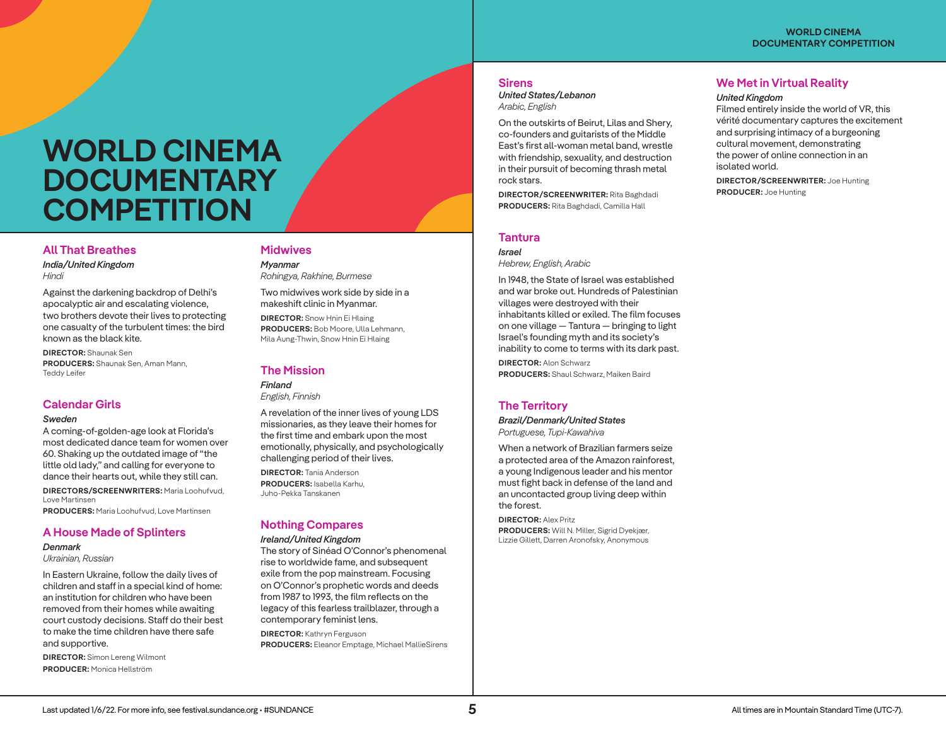# **WORLD CINEMA DOCUMENTARY COMPETITION**

# **All That Breathes**

*India/United Kingdom Hindi*

Against the darkening backdrop of Delhi's apocalyptic air and escalating violence, two brothers devote their lives to protecting one casualty of the turbulent times: the bird known as the black kite.

**DIRECTOR:** Shaunak Sen **PRODUCERS:** Shaunak Sen, Aman Mann, Teddy Leifer

# **Calendar Girls**

#### *Sweden*

A coming-of-golden-age look at Florida's most dedicated dance team for women over 60. Shaking up the outdated image of "the little old lady," and calling for everyone to dance their hearts out, while they still can.

**DIRECTORS/SCREENWRITERS:** Maria Loohufvud, Love Martinsen **PRODUCERS:** Maria Loohufvud, Love Martinsen

# **A House Made of Splinters**

*Denmark Ukrainian, Russian* 

In Eastern Ukraine, follow the daily lives of children and staff in a special kind of home: an institution for children who have been removed from their homes while awaiting court custody decisions. Staff do their best to make the time children have there safe and supportive.

**DIRECTOR:** Simon Lereng Wilmont **PRODUCER:** Monica Hellström

# **Midwives**

*Myanmar Rohingya, Rakhine, Burmese*

Two midwives work side by side in a makeshift clinic in Myanmar.

**DIRECTOR:** Snow Hnin Ei Hlaing **PRODUCERS:** Bob Moore, Ulla Lehmann, Mila Aung-Thwin, Snow Hnin Ei Hlaing

### **The Mission**

*Finland English, Finnish*

A revelation of the inner lives of young LDS missionaries, as they leave their homes for the first time and embark upon the most emotionally, physically, and psychologically challenging period of their lives.

**DIRECTOR:** Tania Anderson **PRODUCERS:** Isabella Karhu, Juho-Pekka Tanskanen

# **Nothing Compares**

### *Ireland/United Kingdom*

The story of Sinéad O'Connor's phenomenal rise to worldwide fame, and subsequent exile from the pop mainstream. Focusing on O'Connor's prophetic words and deeds from 1987 to 1993, the film reflects on the legacy of this fearless trailblazer, through a contemporary feminist lens.

**DIRECTOR:** Kathryn Ferguson **PRODUCERS:** Eleanor Emptage, Michael MallieSirens

### **Sirens**

*United States/Lebanon Arabic, English*

On the outskirts of Beirut, Lilas and Shery, co-founders and guitarists of the Middle East's first all-woman metal band, wrestle with friendship, sexuality, and destruction in their pursuit of becoming thrash metal rock stars.

**DIRECTOR/SCREENWRITER:** Rita Baghdadi **PRODUCERS:** Rita Baghdadi, Camilla Hall

## **Tantura**

*Israel Hebrew, English, Arabic*

In 1948, the State of Israel was established and war broke out. Hundreds of Palestinian villages were destroyed with their inhabitants killed or exiled. The film focuses on one village — Tantura — bringing to light Israel's founding myth and its society's inability to come to terms with its dark past.

**DIRECTOR:** Alon Schwarz **PRODUCERS:** Shaul Schwarz, Maiken Baird

# **The Territory**

*Brazil/Denmark/United States Portuguese, Tupi-Kawahiva*

When a network of Brazilian farmers seize a protected area of the Amazon rainforest, a young Indigenous leader and his mentor must fight back in defense of the land and an uncontacted group living deep within the forest.

**DIRECTOR:** Alex Pritz **PRODUCERS:** Will N. Miller, Sigrid Dyekjær, Lizzie Gillett, Darren Aronofsky, Anonymous

# **We Met in Virtual Reality**

#### *United Kingdom*

Filmed entirely inside the world of VR, this vérité documentary captures the excitement and surprising intimacy of a burgeoning cultural movement, demonstrating the power of online connection in an isolated world.

**DIRECTOR/SCREENWRITER:** Joe Hunting **PRODUCER:** Joe Hunting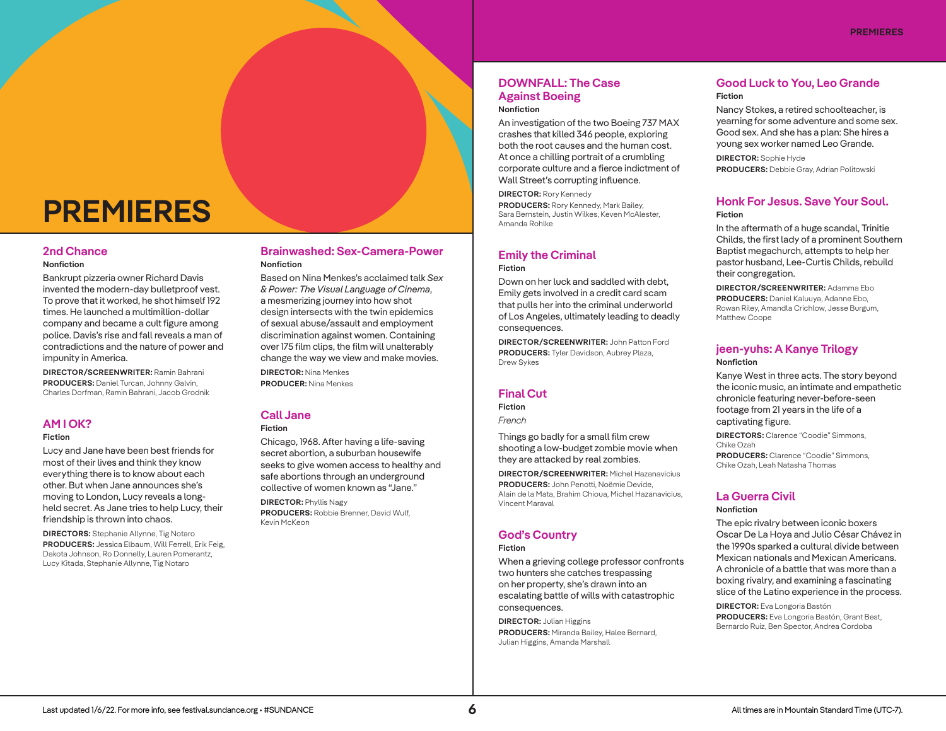# **PREMIERES**

#### **2nd Chance**

#### **Nonfiction**

Bankrupt pizzeria owner Richard Davis invented the modern-day bulletproof vest. To prove that it worked, he shot himself 192 times. He launched a multimillion-dollar company and became a cult figure among police. Davis's rise and fall reveals a man of contradictions and the nature of power and impunity in America.

**DIRECTOR/SCREENWRITER:** Ramin Bahrani **PRODUCERS:** Daniel Turcan, Johnny Galvin, Charles Dorfman, Ramin Bahrani, Jacob Grodnik

# **AM I OK?**

#### **Fiction**

Lucy and Jane have been best friends for most of their lives and think they know everything there is to know about each other. But when Jane announces she's moving to London, Lucy reveals a longheld secret. As Jane tries to help Lucy, their friendship is thrown into chaos.

**DIRECTORS:** Stephanie Allynne, Tig Notaro **PRODUCERS:** Jessica Elbaum, Will Ferrell, Erik Feig, Dakota Johnson, Ro Donnelly, Lauren Pomerantz, Lucy Kitada, Stephanie Allynne, Tig Notaro

# **Brainwashed: Sex-Camera-Power Nonfiction**

Based on Nina Menkes's acclaimed talk *Sex & Power: The Visual Language of Cinema*, a mesmerizing journey into how shot design intersects with the twin epidemics of sexual abuse/assault and employment discrimination against women. Containing over 175 film clips, the film will unalterably change the way we view and make movies. **DIRECTOR:** Nina Menkes **PRODUCER:** Nina Menkes

# **Call Jane**

## **Fiction**

Chicago, 1968. After having a life-saving secret abortion, a suburban housewife seeks to give women access to healthy and safe abortions through an underground collective of women known as "Jane."

**DIRECTOR:** Phyllis Nagy **PRODUCERS:** Robbie Brenner, David Wulf, Kevin McKeon

# **DOWNFALL: The Case Against Boeing**

# **Nonfiction**

An investigation of the two Boeing 737 MAX crashes that killed 346 people, exploring both the root causes and the human cost. At once a chilling portrait of a crumbling corporate culture and a fierce indictment of Wall Street's corrupting influence.

**DIRECTOR:** Rory Kennedy **PRODUCERS:** Rory Kennedy, Mark Bailey, Sara Bernstein, Justin Wilkes, Keven McAlester, Amanda Rohlke

#### **Emily the Criminal Fiction**

Down on her luck and saddled with debt, Emily gets involved in a credit card scam that pulls her into the criminal underworld of Los Angeles, ultimately leading to deadly consequences.

**DIRECTOR/SCREENWRITER:** John Patton Ford **PRODUCERS:** Tyler Davidson, Aubrey Plaza, Drew Sykes

# **Final Cut**

**Fiction** 

*French*

Things go badly for a small film crew shooting a low-budget zombie movie when they are attacked by real zombies.

**DIRECTOR/SCREENWRITER:** Michel Hazanavicius **PRODUCERS:** John Penotti, Noëmie Devide, Alain de la Mata, Brahim Chioua, Michel Hazanavicius, Vincent Maraval

# **God's Country**

#### **Fiction**

When a grieving college professor confronts two hunters she catches trespassing on her property, she's drawn into an escalating battle of wills with catastrophic consequences.

**DIRECTOR:** Julian Higgins **PRODUCERS:** Miranda Bailey, Halee Bernard, Julian Higgins, Amanda Marshall

# **Good Luck to You, Leo Grande Fiction**

Nancy Stokes, a retired schoolteacher, is yearning for some adventure and some sex. Good sex. And she has a plan: She hires a young sex worker named Leo Grande. **DIRECTOR:** Sophie Hyde **PRODUCERS:** Debbie Gray, Adrian Politowski

# **Honk For Jesus. Save Your Soul. Fiction**

In the aftermath of a huge scandal, Trinitie Childs, the first lady of a prominent Southern Baptist megachurch, attempts to help her pastor husband, Lee-Curtis Childs, rebuild their congregation.

**DIRECTOR/SCREENWRITER:** Adamma Ebo **PRODUCERS:** Daniel Kaluuya, Adanne Ebo, Rowan Riley, Amandla Crichlow, Jesse Burgum, Matthew Coope

# **jeen-yuhs: A Kanye Trilogy Nonfiction**

Kanye West in three acts. The story beyond the iconic music, an intimate and empathetic chronicle featuring never-before-seen footage from 21 years in the life of a captivating figure.

**DIRECTORS:** Clarence "Coodie" Simmons, Chike Ozah **PRODUCERS:** Clarence "Coodie" Simmons, Chike Ozah, Leah Natasha Thomas

# **La Guerra Civil**

**Nonfiction** 

The epic rivalry between iconic boxers Oscar De La Hoya and Julio César Chávez in the 1990s sparked a cultural divide between Mexican nationals and Mexican Americans. A chronicle of a battle that was more than a boxing rivalry, and examining a fascinating slice of the Latino experience in the process.

**DIRECTOR:** Eva Longoria Bastón

**PRODUCERS:** Eva Longoria Bastón, Grant Best, Bernardo Ruiz, Ben Spector, Andrea Cordoba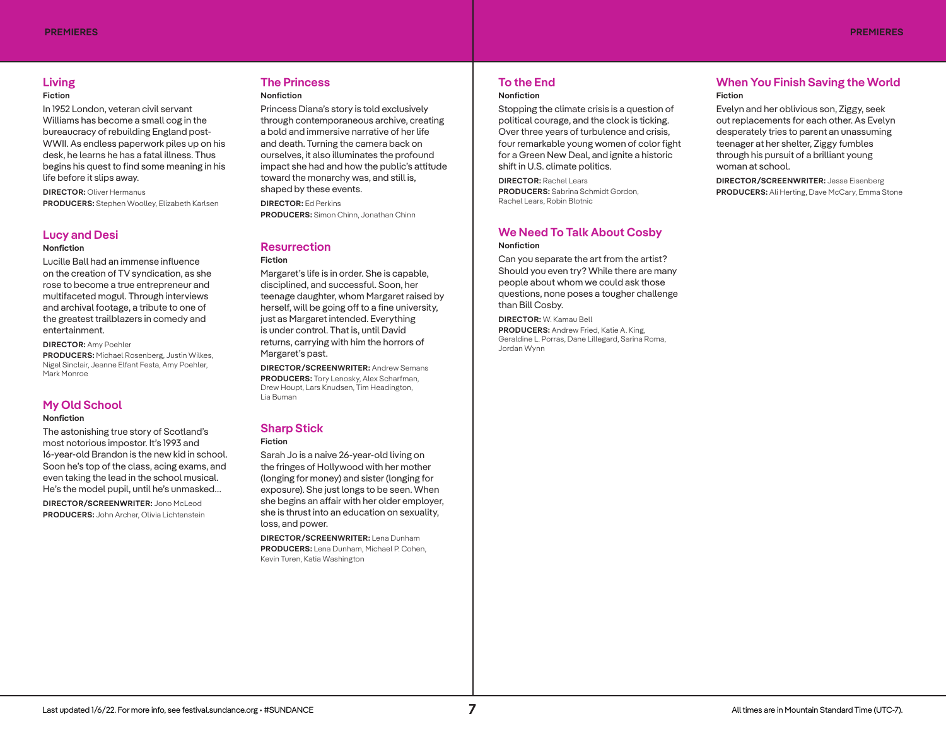# **Living**

#### **Fiction**

In 1952 London, veteran civil servant Williams has become a small cog in the bureaucracy of rebuilding England post-WWII. As endless paperwork piles up on his desk, he learns he has a fatal illness. Thus begins his quest to find some meaning in his life before it slips away.

**DIRECTOR:** Oliver Hermanus **PRODUCERS:** Stephen Woolley, Elizabeth Karlsen

## **Lucy and Desi**

#### **Nonfiction**

Lucille Ball had an immense influence on the creation of TV syndication, as she rose to become a true entrepreneur and multifaceted mogul. Through interviews and archival footage, a tribute to one of the greatest trailblazers in comedy and entertainment.

#### **DIRECTOR:** Amy Poehler

**PRODUCERS:** Michael Rosenberg, Justin Wilkes, Nigel Sinclair, Jeanne Elfant Festa, Amy Poehler, Mark Monroe

### **My Old School**

#### **Nonfiction**

The astonishing true story of Scotland's most notorious impostor. It's 1993 and 16-year-old Brandon is the new kid in school. Soon he's top of the class, acing exams, and even taking the lead in the school musical. He's the model pupil, until he's unmasked…

**DIRECTOR/SCREENWRITER:** Jono McLeod **PRODUCERS:** John Archer, Olivia Lichtenstein

#### **The Princess Nonfiction**

Princess Diana's story is told exclusively through contemporaneous archive, creating a bold and immersive narrative of her life and death. Turning the camera back on ourselves, it also illuminates the profound impact she had and how the public's attitude toward the monarchy was, and still is, shaped by these events.

**DIRECTOR:** Ed Perkins **PRODUCERS:** Simon Chinn, Jonathan Chinn

# **Resurrection**

**Fiction** 

Margaret's life is in order. She is capable, disciplined, and successful. Soon, her teenage daughter, whom Margaret raised by herself, will be going off to a fine university, just as Margaret intended. Everything is under control. That is, until David returns, carrying with him the horrors of Margaret's past.

**DIRECTOR/SCREENWRITER:** Andrew Semans **PRODUCERS:** Tory Lenosky, Alex Scharfman, Drew Houpt, Lars Knudsen, Tim Headington, Lia Buman

# **Sharp Stick**

#### **Fiction**

Sarah Jo is a naive 26-year-old living on the fringes of Hollywood with her mother (longing for money) and sister (longing for exposure). She just longs to be seen. When she begins an affair with her older employer, she is thrust into an education on sexuality, loss, and power.

**DIRECTOR/SCREENWRITER:** Lena Dunham **PRODUCERS:** Lena Dunham, Michael P. Cohen, Kevin Turen, Katia Washington

# **To the End**

# **Nonfiction**

Stopping the climate crisis is a question of political courage, and the clock is ticking. Over three years of turbulence and crisis, four remarkable young women of color fight for a Green New Deal, and ignite a historic shift in U.S. climate politics.

**DIRECTOR:** Rachel Lears **PRODUCERS:** Sabrina Schmidt Gordon, Rachel Lears, Robin Blotnic

## **We Need To Talk About Cosby Nonfiction**

Can you separate the art from the artist? Should you even try? While there are many people about whom we could ask those questions, none poses a tougher challenge than Bill Cosby.

**DIRECTOR:** W. Kamau Bell **PRODUCERS:** Andrew Fried, Katie A. King, Geraldine L. Porras, Dane Lillegard, Sarina Roma, Jordan Wynn

# **When You Finish Saving the World Fiction**

Evelyn and her oblivious son, Ziggy, seek out replacements for each other. As Evelyn desperately tries to parent an unassuming teenager at her shelter, Ziggy fumbles through his pursuit of a brilliant young woman at school.

**DIRECTOR/SCREENWRITER:** Jesse Eisenberg **PRODUCERS:** Ali Herting, Dave McCary, Emma Stone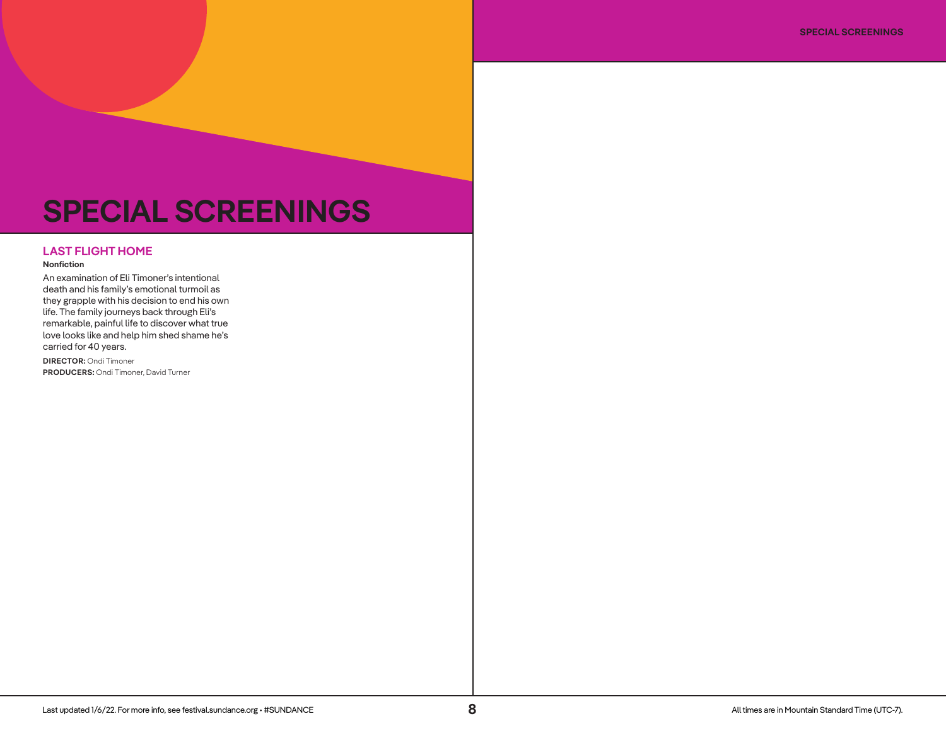# **SPECIAL SCREENINGS**

## **LAST FLIGHT HOME**

#### **Nonfiction**

An examination of Eli Timoner's intentional death and his family's emotional turmoil as they grapple with his decision to end his own life. The family journeys back through Eli's remarkable, painful life to discover what true love looks like and help him shed shame he's carried for 40 years.

**DIRECTOR:** Ondi Timoner **PRODUCERS:** Ondi Timoner, David Turner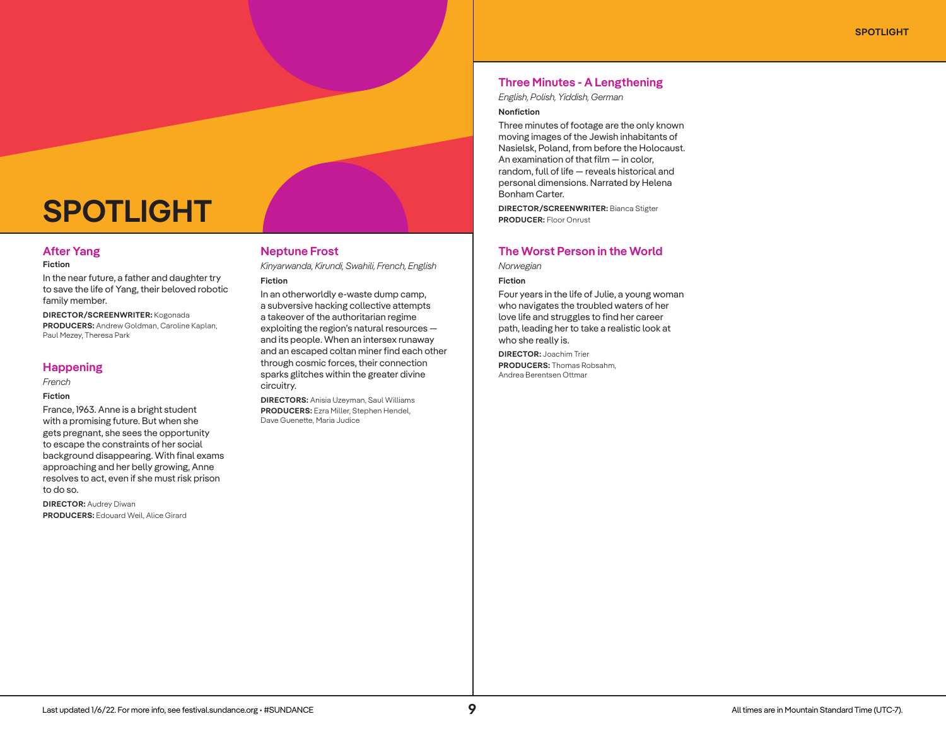# **SPOTLIGHT**

# **After Yang**

#### **Fiction**

In the near future, a father and daughter try to save the life of Yang, their beloved robotic family member.

**DIRECTOR/SCREENWRITER:** Kogonada **PRODUCERS:** Andrew Goldman, Caroline Kaplan, Paul Mezey, Theresa Park

#### **Happening**

*French*

#### **Fiction**

France, 1963. Anne is a bright student with a promising future. But when she gets pregnant, she sees the opportunity to escape the constraints of her social background disappearing. With final exams approaching and her belly growing, Anne resolves to act, even if she must risk prison to do so.

**DIRECTOR:** Audrey Diwan **PRODUCERS:** Edouard Weil, Alice Girard

# **Neptune Frost**

*Kinyarwanda, Kirundi, Swahili, French, English*

# **Fiction**

In an otherworldly e-waste dump camp, a subversive hacking collective attempts a takeover of the authoritarian regime exploiting the region's natural resources and its people. When an intersex runaway and an escaped coltan miner find each other through cosmic forces, their connection sparks glitches within the greater divine circuitry.

**DIRECTORS:** Anisia Uzeyman, Saul Williams **PRODUCERS:** Ezra Miller, Stephen Hendel, Dave Guenette, Maria Judice

# **Three Minutes - A Lengthening**

*English, Polish, Yiddish, German*

#### **Nonfiction**

Three minutes of footage are the only known moving images of the Jewish inhabitants of Nasielsk, Poland, from before the Holocaust. An examination of that film — in color, random, full of life — reveals historical and personal dimensions. Narrated by Helena Bonham Carter.

**DIRECTOR/SCREENWRITER:** Bianca Stigter **PRODUCER:** Floor Onrust

# **The Worst Person in the World**

*Norwegian*

#### **Fiction**

Four years in the life of Julie, a young woman who navigates the troubled waters of her love life and struggles to find her career path, leading her to take a realistic look at who she really is.

**DIRECTOR:** Joachim Trier **PRODUCERS:** Thomas Robsahm, Andrea Berentsen Ottmar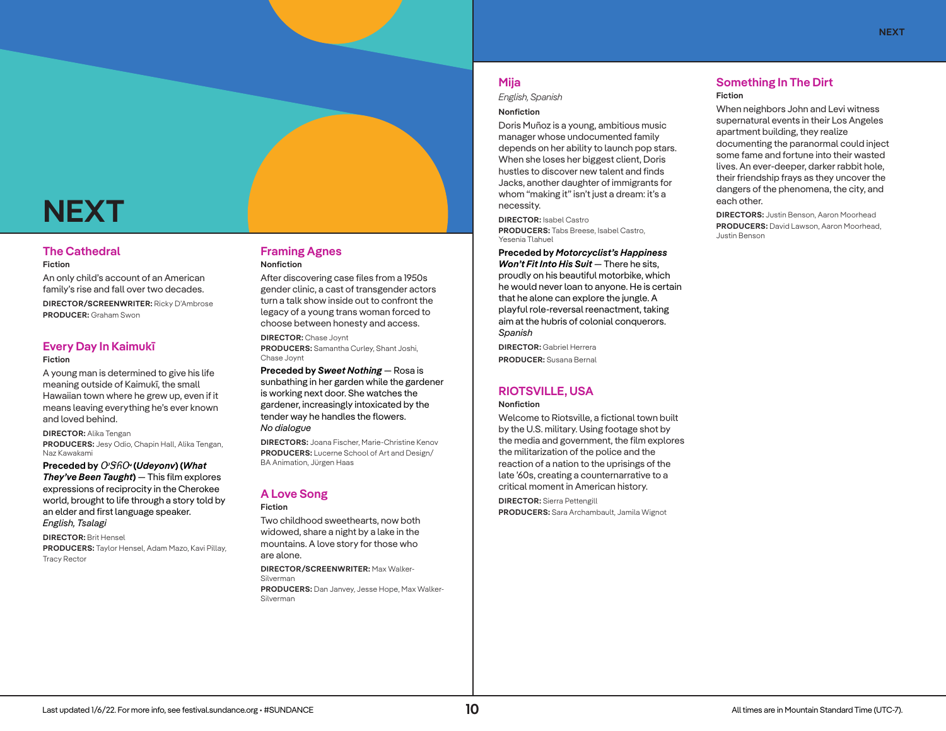# **NEXT**

# **The Cathedral**

#### **Fiction**

An only child's account of an American family's rise and fall over two decades.

**DIRECTOR/SCREENWRITER:** Ricky D'Ambrose **PRODUCER:** Graham Swon

# **Every Day In Kaimukī**

#### **Fiction**

A young man is determined to give his life meaning outside of Kaimukī, the small Hawaiian town where he grew up, even if it means leaving everything he's ever known and loved behind.

#### **DIRECTOR:** Alika Tengan

**PRODUCERS:** Jesy Odio, Chapin Hall, Alika Tengan, Naz Kawakami

**Preceded by** ᎤᏕᏲᏅ **(***Udeyonv***) (***What They've Been Taught***)** — This film explores expressions of reciprocity in the Cherokee world, brought to life through a story told by an elder and first language speaker. *English, Tsalagi*

**DIRECTOR:** Brit Hensel **PRODUCERS:** Taylor Hensel, Adam Mazo, Kavi Pillay, Tracy Rector

# **Framing Agnes Nonfiction**

After discovering case files from a 1950s gender clinic, a cast of transgender actors turn a talk show inside out to confront the legacy of a young trans woman forced to choose between honesty and access.

**DIRECTOR:** Chase Joynt **PRODUCERS:** Samantha Curley, Shant Joshi, Chase Joynt

**Preceded by** *Sweet Nothing* — Rosa is sunbathing in her garden while the gardener is working next door. She watches the gardener, increasingly intoxicated by the tender way he handles the flowers. *No dialogue*

**DIRECTORS:** Joana Fischer, Marie-Christine Kenov **PRODUCERS:** Lucerne School of Art and Design/ BA Animation, Jürgen Haas

# **A Love Song**

**Fiction**  Two childhood sweethearts, now both widowed, share a night by a lake in the mountains. A love story for those who are alone.

**DIRECTOR/SCREENWRITER:** Max Walker-Silverman **PRODUCERS:** Dan Janvey, Jesse Hope, Max Walker-Silverman

# **Mija**

*English, Spanish*

#### **Nonfiction**

Doris Muñoz is a young, ambitious music manager whose undocumented family depends on her ability to launch pop stars. When she loses her biggest client, Doris hustles to discover new talent and finds Jacks, another daughter of immigrants for whom "making it" isn't just a dream: it's a necessity.

**DIRECTOR:** Isabel Castro **PRODUCERS:** Tabs Breese, Isabel Castro, Yesenia Tlahuel

#### **Preceded by** *Motorcyclist's Happiness*

*Won't Fit Into His Suit* — There he sits, proudly on his beautiful motorbike, which he would never loan to anyone. He is certain that he alone can explore the jungle. A playful role-reversal reenactment, taking aim at the hubris of colonial conquerors. *Spanish*

**DIRECTOR:** Gabriel Herrera **PRODUCER:** Susana Bernal

# **RIOTSVILLE, USA**

#### **Nonfiction**

Welcome to Riotsville, a fictional town built by the U.S. military. Using footage shot by the media and government, the film explores the militarization of the police and the reaction of a nation to the uprisings of the late '60s, creating a counternarrative to a critical moment in American history.

**DIRECTOR:** Sierra Pettengill **PRODUCERS:** Sara Archambault, Jamila Wignot

### **Something In The Dirt Fiction**

When neighbors John and Levi witness supernatural events in their Los Angeles apartment building, they realize documenting the paranormal could inject some fame and fortune into their wasted lives. An ever-deeper, darker rabbit hole, their friendship frays as they uncover the dangers of the phenomena, the city, and each other.

**DIRECTORS:** Justin Benson, Aaron Moorhead **PRODUCERS:** David Lawson, Aaron Moorhead, Justin Benson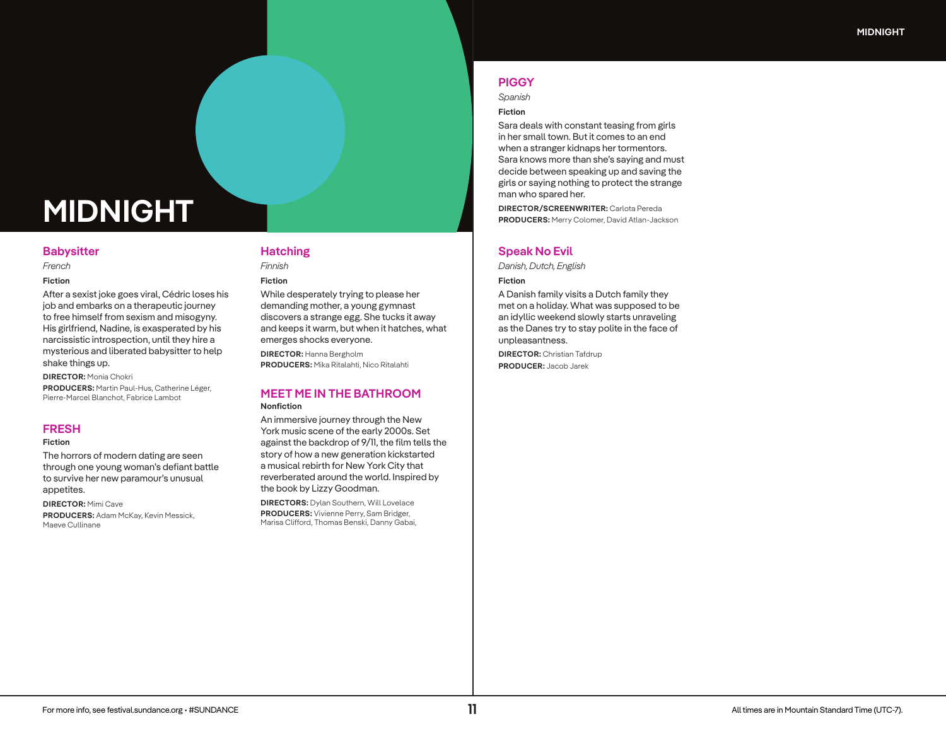# **MIDNIGHT**

#### **Babysitter**

*French*

#### **Fiction**

After a sexist joke goes viral, Cédric loses his job and embarks on a therapeutic journey to free himself from sexism and misogyny. His girlfriend, Nadine, is exasperated by his narcissistic introspection, until they hire a mysterious and liberated babysitter to help shake things up.

**DIRECTOR:** Monia Chokri

**PRODUCERS:** Martin Paul-Hus, Catherine Léger, Pierre-Marcel Blanchot, Fabrice Lambot

## **FRESH**

#### **Fiction**

The horrors of modern dating are seen through one young woman's defiant battle to survive her new paramour's unusual appetites.

**DIRECTOR:** Mimi Cave **PRODUCERS:** Adam McKay, Kevin Messick, Maeve Cullinane

# **Hatching**

*Finnish*

#### **Fiction**

While desperately trying to please her demanding mother, a young gymnast discovers a strange egg. She tucks it away and keeps it warm, but when it hatches, what emerges shocks everyone.

**DIRECTOR:** Hanna Bergholm **PRODUCERS:** Mika Ritalahti, Nico Ritalahti

#### **MEET ME IN THE BATHROOM Nonfiction**

An immersive journey through the New York music scene of the early 2000s. Set against the backdrop of 9/11, the film tells the story of how a new generation kickstarted a musical rebirth for New York City that reverberated around the world. Inspired by the book by Lizzy Goodman.

**DIRECTORS:** Dylan Southern, Will Lovelace **PRODUCERS:** Vivienne Perry, Sam Bridger, Marisa Clifford, Thomas Benski, Danny Gabai,

# **PIGGY**

*Spanish*

#### **Fiction**

Sara deals with constant teasing from girls in her small town. But it comes to an end when a stranger kidnaps her tormentors. Sara knows more than she's saying and must decide between speaking up and saving the girls or saying nothing to protect the strange man who spared her.

**DIRECTOR/SCREENWRITER:** Carlota Pereda **PRODUCERS:** Merry Colomer, David Atlan-Jackson

## **Speak No Evil**

*Danish, Dutch, English*

#### **Fiction**

A Danish family visits a Dutch family they met on a holiday. What was supposed to be an idyllic weekend slowly starts unraveling as the Danes try to stay polite in the face of unpleasantness.

**DIRECTOR:** Christian Tafdrup **PRODUCER:** Jacob Jarek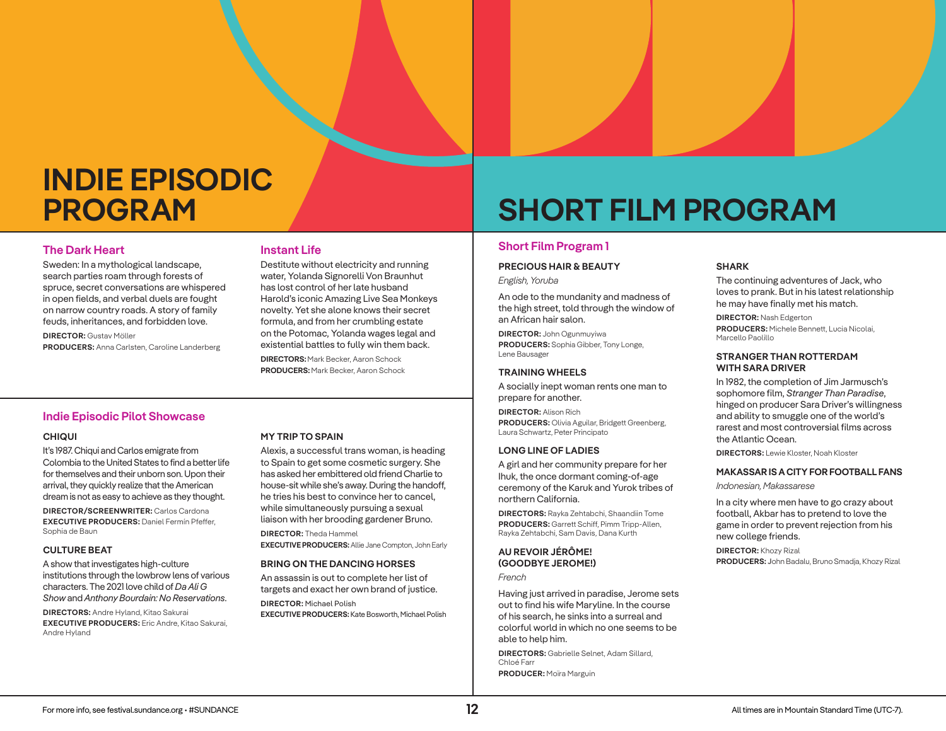# **INDIE EPISODIC PROGRAM**

# **The Dark Heart**

Sweden: In a mythological landscape, search parties roam through forests of spruce, secret conversations are whispered in open fields, and verbal duels are fought on narrow country roads. A story of family feuds, inheritances, and forbidden love.

**DIRECTOR:** Gustav Möller **PRODUCERS:** Anna Carlsten, Caroline Landerberg

## **Instant Life**

Destitute without electricity and running water, Yolanda Signorelli Von Braunhut has lost control of her late husband Harold's iconic Amazing Live Sea Monkeys novelty. Yet she alone knows their secret formula, and from her crumbling estate on the Potomac, Yolanda wages legal and existential battles to fully win them back. **DIRECTORS:**Mark Becker, Aaron Schock

**PRODUCERS:**Mark Becker, Aaron Schock

# **Indie Episodic Pilot Showcase**

#### **CHIQUI**

It's 1987. Chiqui and Carlos emigrate from Colombia to the United States to find a better life for themselves and their unborn son. Upon their arrival, they quickly realize that the American dream is not as easy to achieve as they thought.

**DIRECTOR/SCREENWRITER:** Carlos Cardona **EXECUTIVE PRODUCERS:** Daniel Fermín Pfeffer, Sophia de Baun

#### **CULTURE BEAT**

A show that investigates high-culture institutions through the lowbrow lens of various characters. The 2021 love child of *Da Ali G Show* and *Anthony Bourdain: No Reservations*.

**DIRECTORS:** Andre Hyland, Kitao Sakurai **EXECUTIVE PRODUCERS:** Eric Andre, Kitao Sakurai, Andre Hyland

#### **MY TRIP TO SPAIN**

Alexis, a successful trans woman, is heading to Spain to get some cosmetic surgery. She has asked her embittered old friend Charlie to house-sit while she's away. During the handoff, he tries his best to convince her to cancel, while simultaneously pursuing a sexual liaison with her brooding gardener Bruno.

**DIRECTOR:** Theda Hammel **EXECUTIVE PRODUCERS:** Allie Jane Compton, John Early

#### **BRING ON THE DANCING HORSES**

An assassin is out to complete her list of targets and exact her own brand of justice.

**DIRECTOR:** Michael Polish **EXECUTIVE PRODUCERS:** Kate Bosworth, Michael Polish

# **SHORT FILM PROGRAM**

# **Short Film Program 1**

#### **PRECIOUS HAIR & BEAUTY**

*English, Yoruba*

An ode to the mundanity and madness of the high street, told through the window of an African hair salon.

**DIRECTOR:** John Ogunmuyiwa **PRODUCERS:** Sophia Gibber, Tony Longe, Lene Bausager

#### **TRAINING WHEELS**

A socially inept woman rents one man to prepare for another.

**DIRECTOR:** Alison Rich **PRODUCERS:** Olivia Aguilar, Bridgett Greenberg, Laura Schwartz, Peter Principato

#### **LONG LINE OF LADIES**

A girl and her community prepare for her Ihuk, the once dormant coming-of-age ceremony of the Karuk and Yurok tribes of northern California.

**DIRECTORS:** Rayka Zehtabchi, Shaandiin Tome **PRODUCERS:** Garrett Schiff, Pimm Tripp-Allen, Rayka Zehtabchi, Sam Davis, Dana Kurth

## **AU REVOIR JÉRÔME! (GOODBYE JEROME!)**

*French*

Having just arrived in paradise, Jerome sets out to find his wife Maryline. In the course of his search, he sinks into a surreal and colorful world in which no one seems to be able to help him.

**DIRECTORS:** Gabrielle Selnet, Adam Sillard, Chloé Farr **PRODUCER:** Moïra Marguin

#### **SHARK**

The continuing adventures of Jack, who loves to prank. But in his latest relationship he may have finally met his match.

**DIRECTOR:** Nash Edgerton **PRODUCERS:** Michele Bennett, Lucia Nicolai, Marcello Paolillo

#### **STRANGER THAN ROTTERDAM WITH SARA DRIVER**

In 1982, the completion of Jim Jarmusch's sophomore film, *Stranger Than Paradise*, hinged on producer Sara Driver's willingness and ability to smuggle one of the world's rarest and most controversial films across the Atlantic Ocean.

**DIRECTORS:** Lewie Kloster, Noah Kloster

#### **MAKASSAR IS A CITY FOR FOOTBALL FANS**

*Indonesian, Makassarese*

In a city where men have to go crazy about football, Akbar has to pretend to love the game in order to prevent rejection from his new college friends.

**DIRECTOR:** Khozy Rizal **PRODUCERS: J**ohn Badalu, Bruno Smadja, Khozy Rizal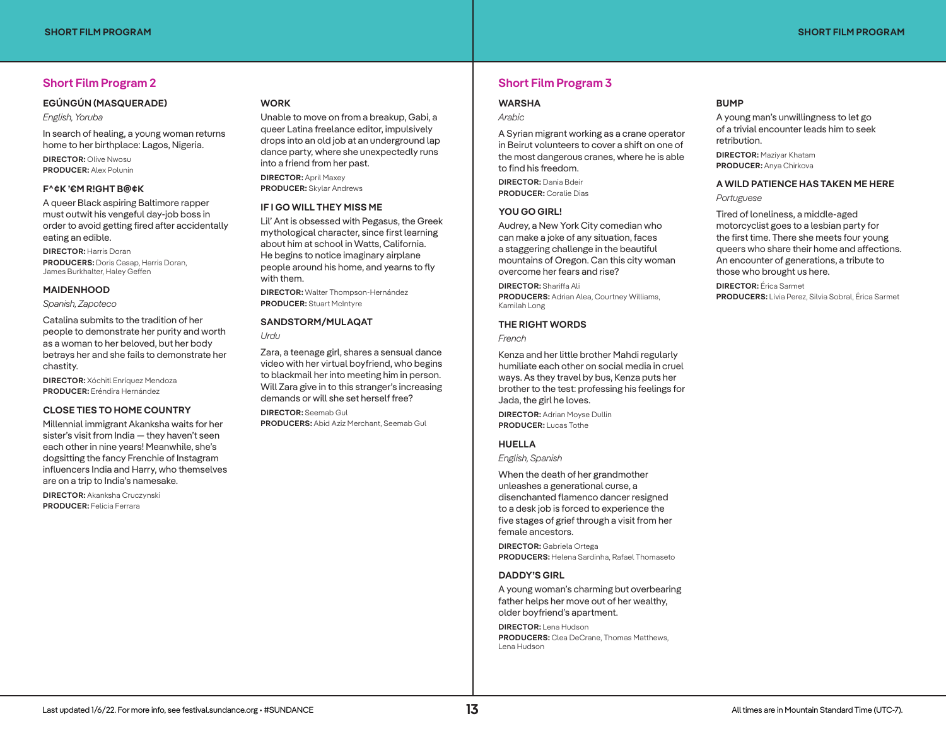# **Short Film Program 2**

#### **EGÚNGÚN (MASQUERADE)**

*English, Yoruba*

In search of healing, a young woman returns home to her birthplace: Lagos, Nigeria.

**DIRECTOR:** Olive Nwosu **PRODUCER:** Alex Polunin

#### **F^¢K '€M R!GHT B@¢K**

A queer Black aspiring Baltimore rapper must outwit his vengeful day-job boss in order to avoid getting fired after accidentally eating an edible.

**DIRECTOR:** Harris Doran **PRODUCERS:** Doris Casap, Harris Doran, James Burkhalter, Haley Geffen

#### **MAIDENHOOD**

*Spanish, Zapoteco*

Catalina submits to the tradition of her people to demonstrate her purity and worth as a woman to her beloved, but her body betrays her and she fails to demonstrate her chastity.

**DIRECTOR:** Xóchitl Enríquez Mendoza **PRODUCER:** Eréndira Hernández

#### **CLOSE TIES TO HOME COUNTRY**

Millennial immigrant Akanksha waits for her sister's visit from India — they haven't seen each other in nine years! Meanwhile, she's dogsitting the fancy Frenchie of Instagram influencers India and Harry, who themselves are on a trip to India's namesake.

**DIRECTOR:** Akanksha Cruczynski **PRODUCER:** Felicia Ferrara

#### **WORK**

Unable to move on from a breakup, Gabi, a queer Latina freelance editor, impulsively drops into an old job at an underground lap dance party, where she unexpectedly runs into a friend from her past.

**DIRECTOR:** April Maxey **PRODUCER:** Skylar Andrews

#### **IF I GO WILL THEY MISS ME**

Lil' Ant is obsessed with Pegasus, the Greek mythological character, since first learning about him at school in Watts, California. He begins to notice imaginary airplane people around his home, and yearns to fly with them.

**DIRECTOR:** Walter Thompson-Hernández **PRODUCER:** Stuart McIntyre

## **SANDSTORM/MULAQAT**

*Urdu*

Zara, a teenage girl, shares a sensual dance video with her virtual boyfriend, who begins to blackmail her into meeting him in person. Will Zara give in to this stranger's increasing demands or will she set herself free?

**DIRECTOR:** Seemab Gul **PRODUCERS:** Abid Aziz Merchant, Seemab Gul

# **Short Film Program 3**

#### **WARSHA**

*Arabic*

A Syrian migrant working as a crane operator in Beirut volunteers to cover a shift on one of the most dangerous cranes, where he is able to find his freedom.

**DIRECTOR:** Dania Bdeir **PRODUCER:** Coralie Dias

#### **YOU GO GIRL!**

Audrey, a New York City comedian who can make a joke of any situation, faces a staggering challenge in the beautiful mountains of Oregon. Can this city woman overcome her fears and rise?

**DIRECTOR:** Shariffa Ali **PRODUCERS:** Adrian Alea, Courtney Williams, Kamilah Long

#### **THE RIGHT WORDS**

*French*

Kenza and her little brother Mahdi regularly humiliate each other on social media in cruel ways. As they travel by bus, Kenza puts her brother to the test: professing his feelings for Jada, the girl he loves.

**DIRECTOR:** Adrian Moyse Dullin **PRODUCER:** Lucas Tothe

#### **HUELLA**

*English, Spanish*

When the death of her grandmother unleashes a generational curse, a disenchanted flamenco dancer resigned to a desk job is forced to experience the five stages of grief through a visit from her female ancestors.

**DIRECTOR:** Gabriela Ortega **PRODUCERS:** Helena Sardinha, Rafael Thomaseto

#### **DADDY'S GIRL**

A young woman's charming but overbearing father helps her move out of her wealthy, older boyfriend's apartment.

**DIRECTOR:** Lena Hudson **PRODUCERS:** Clea DeCrane, Thomas Matthews, Lena Hudson

#### **BUMP**

A young man's unwillingness to let go of a trivial encounter leads him to seek retribution.

**DIRECTOR:** Maziyar Khatam **PRODUCER:** Anya Chirkova

**A WILD PATIENCE HAS TAKEN ME HERE** *Portuguese*

Tired of loneliness, a middle-aged motorcyclist goes to a lesbian party for the first time. There she meets four young queers who share their home and affections. An encounter of generations, a tribute to those who brought us here.

**DIRECTOR:** Érica Sarmet **PRODUCERS:** Lívia Perez, Silvia Sobral, Érica Sarmet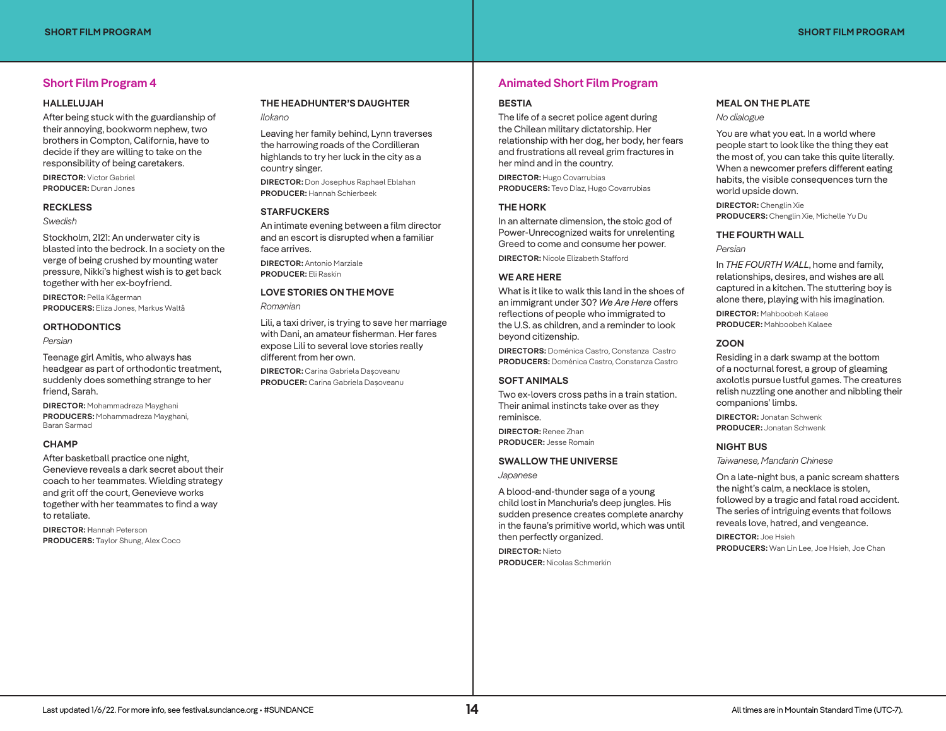# **Short Film Program 4**

#### **HALLELUJAH**

After being stuck with the guardianship of their annoying, bookworm nephew, two brothers in Compton, California, have to decide if they are willing to take on the responsibility of being caretakers.

**DIRECTOR:** Victor Gabriel **PRODUCER:** Duran Jones

#### **RECKLESS**

*Swedish*

Stockholm, 2121: An underwater city is blasted into the bedrock. In a society on the verge of being crushed by mounting water pressure, Nikki's highest wish is to get back together with her ex-boyfriend.

**DIRECTOR:** Pella Kågerman **PRODUCERS:** Eliza Jones, Markus Waltå

#### **ORTHODONTICS**

*Persian*

Teenage girl Amitis, who always has headgear as part of orthodontic treatment, suddenly does something strange to her friend, Sarah.

**DIRECTOR:** Mohammadreza Mayghani **PRODUCERS:** Mohammadreza Mayghani, Baran Sarmad

#### **CHAMP**

After basketball practice one night, Genevieve reveals a dark secret about their coach to her teammates. Wielding strategy and grit off the court, Genevieve works together with her teammates to find a way to retaliate.

**DIRECTOR: H**annah Peterson **PRODUCERS: T**aylor Shung, Alex Coco

#### **THE HEADHUNTER'S DAUGHTER** *Ilokano*

Leaving her family behind, Lynn traverses the harrowing roads of the Cordilleran highlands to try her luck in the city as a country singer. **DIRECTOR:** Don Josephus Raphael Eblahan **PRODUCER:** Hannah Schierbeek

#### **STARFUCKERS**

An intimate evening between a film director and an escort is disrupted when a familiar face arrives.

**DIRECTOR:** Antonio Marziale **PRODUCER:** Eli Raskin

### **LOVE STORIES ON THE MOVE**

*Romanian*

Lili, a taxi driver, is trying to save her marriage with Dani, an amateur fisherman. Her fares expose Lili to several love stories really different from her own.

**DIRECTOR:** Carina Gabriela Dașoveanu **PRODUCER:** Carina Gabriela Dașoveanu

# **Animated Short Film Program**

#### **BESTIA**

The life of a secret police agent during the Chilean military dictatorship. Her relationship with her dog, her body, her fears and frustrations all reveal grim fractures in her mind and in the country.

**DIRECTOR:** Hugo Covarrubias **PRODUCERS:** Tevo Díaz, Hugo Covarrubias

#### **THE HORK**

In an alternate dimension, the stoic god of Power-Unrecognized waits for unrelenting Greed to come and consume her power.

**DIRECTOR:** Nicole Elizabeth Stafford

## **WE ARE HERE**

What is it like to walk this land in the shoes of an immigrant under 30? *We Are Here* offers reflections of people who immigrated to the U.S. as children, and a reminder to look beyond citizenship.

**DIRECTORS:** Doménica Castro, Constanza Castro **PRODUCERS:** Doménica Castro, Constanza Castro

#### **SOFT ANIMALS**

Two ex-lovers cross paths in a train station. Their animal instincts take over as they reminisce.

**DIRECTOR:** Renee Zhan **PRODUCER:** Jesse Romain

#### **SWALLOW THE UNIVERSE**

*Japanese*

A blood-and-thunder saga of a young child lost in Manchuria's deep jungles. His sudden presence creates complete anarchy in the fauna's primitive world, which was until then perfectly organized.

**DIRECTOR:** Nieto **PRODUCER:** Nicolas Schmerkin

## **MEAL ON THE PLATE**

*No dialogue*

You are what you eat. In a world where people start to look like the thing they eat the most of, you can take this quite literally. When a newcomer prefers different eating habits, the visible consequences turn the world upside down.

**DIRECTOR:** Chenglin Xie **PRODUCERS:** Chenglin Xie, Michelle Yu Du

#### **THE FOURTH WALL**

*Persian*

In *THE FOURTH WALL*, home and family, relationships, desires, and wishes are all captured in a kitchen. The stuttering boy is alone there, playing with his imagination.

**DIRECTOR:** Mahboobeh Kalaee **PRODUCER:** Mahboobeh Kalaee

#### **ZOON**

Residing in a dark swamp at the bottom of a nocturnal forest, a group of gleaming axolotls pursue lustful games. The creatures relish nuzzling one another and nibbling their companions' limbs.

**DIRECTOR:** Jonatan Schwenk **PRODUCER:** Jonatan Schwenk

#### **NIGHT BUS**

*Taiwanese, Mandarin Chinese*

On a late-night bus, a panic scream shatters the night's calm, a necklace is stolen, followed by a tragic and fatal road accident. The series of intriguing events that follows reveals love, hatred, and vengeance.

**DIRECTOR:** Joe Hsieh **PRODUCERS:** Wan Lin Lee, Joe Hsieh, Joe Chan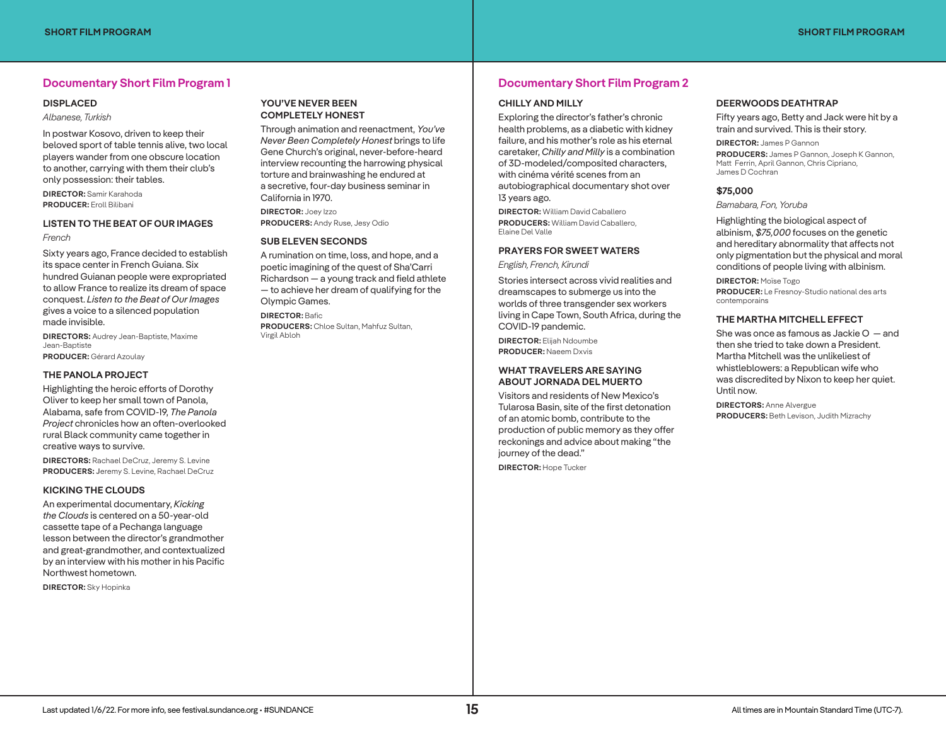# **Documentary Short Film Program 1**

#### **DISPLACED**

#### *Albanese, Turkish*

In postwar Kosovo, driven to keep their beloved sport of table tennis alive, two local players wander from one obscure location to another, carrying with them their club's only possession: their tables.

**DIRECTOR:** Samir Karahoda **PRODUCER:** Eroll Bilibani

#### **LISTEN TO THE BEAT OF OUR IMAGES**

#### *French*

Sixty years ago, France decided to establish its space center in French Guiana. Six hundred Guianan people were expropriated to allow France to realize its dream of space conquest. *Listen to the Beat of Our Images*  gives a voice to a silenced population made invisible.

**DIRECTORS:** Audrey Jean-Baptiste, Maxime Jean-Baptiste **PRODUCER:** Gérard Azoulay

#### **THE PANOLA PROJECT**

Highlighting the heroic efforts of Dorothy Oliver to keep her small town of Panola, Alabama, safe from COVID-19, *The Panola Project* chronicles how an often-overlooked rural Black community came together in creative ways to survive.

**DIRECTORS:** Rachael DeCruz, Jeremy S. Levine **PRODUCERS: J**eremy S. Levine, Rachael DeCruz

#### **KICKING THE CLOUDS**

An experimental documentary, *Kicking the Clouds* is centered on a 50-year-old cassette tape of a Pechanga language lesson between the director's grandmother and great-grandmother, and contextualized by an interview with his mother in his Pacific Northwest hometown.

**DIRECTOR:** Sky Hopinka

#### **YOU'VE NEVER BEEN COMPLETELY HONEST**

Through animation and reenactment, *You've Never Been Completely Honest* brings to life Gene Church's original, never-before-heard interview recounting the harrowing physical torture and brainwashing he endured at a secretive, four-day business seminar in California in 1970.

**DIRECTOR:** Joey Izzo **PRODUCERS:** Andy Ruse, Jesy Odio

#### **SUB ELEVEN SECONDS**

A rumination on time, loss, and hope, and a poetic imagining of the quest of Sha'Carri Richardson — a young track and field athlete — to achieve her dream of qualifying for the Olympic Games.

**DIRECTOR:** Bafic

**PRODUCERS:** Chloe Sultan, Mahfuz Sultan, Virgil Abloh

# **Documentary Short Film Program 2**

#### **CHILLY AND MILLY**

Exploring the director's father's chronic health problems, as a diabetic with kidney failure, and his mother's role as his eternal caretaker, *Chilly and Milly* is a combination of 3D-modeled/composited characters, with cinéma vérité scenes from an autobiographical documentary shot over 13 years ago.

**DIRECTOR:** William David Caballero **PRODUCERS:** William David Caballero, Elaine Del Valle

#### **PRAYERS FOR SWEET WATERS**

*English, French, Kirundi*

Stories intersect across vivid realities and dreamscapes to submerge us into the worlds of three transgender sex workers living in Cape Town, South Africa, during the COVID-19 pandemic.

**DIRECTOR:** Elijah Ndoumbe **PRODUCER:** Naeem Dxvis

#### **WHAT TRAVELERS ARE SAYING ABOUT JORNADA DEL MUERTO**

Visitors and residents of New Mexico's Tularosa Basin, site of the first detonation of an atomic bomb, contribute to the production of public memory as they offer reckonings and advice about making "the journey of the dead."

**DIRECTOR:** Hope Tucker

#### **DEERWOODS DEATHTRAP**

Fifty years ago, Betty and Jack were hit by a train and survived. This is their story.

**DIRECTOR:** James P Gannon **PRODUCERS:** James P Gannon, Joseph K Gannon, Matt Ferrin, April Gannon, Chris Cipriano, James D Cochran

#### **\$75,000**

*Bamabara, Fon, Yoruba*

Highlighting the biological aspect of albinism, *\$75,000* focuses on the genetic and hereditary abnormality that affects not only pigmentation but the physical and moral conditions of people living with albinism.

**DIRECTOR:** Moïse Togo **PRODUCER:** Le Fresnoy-Studio national des arts contemporains

#### **THE MARTHA MITCHELL EFFECT**

She was once as famous as Jackie O — and then she tried to take down a President. Martha Mitchell was the unlikeliest of whistleblowers: a Republican wife who was discredited by Nixon to keep her quiet. Until now.

**DIRECTORS:** Anne Alvergue **PRODUCERS:** Beth Levison, Judith Mizrachy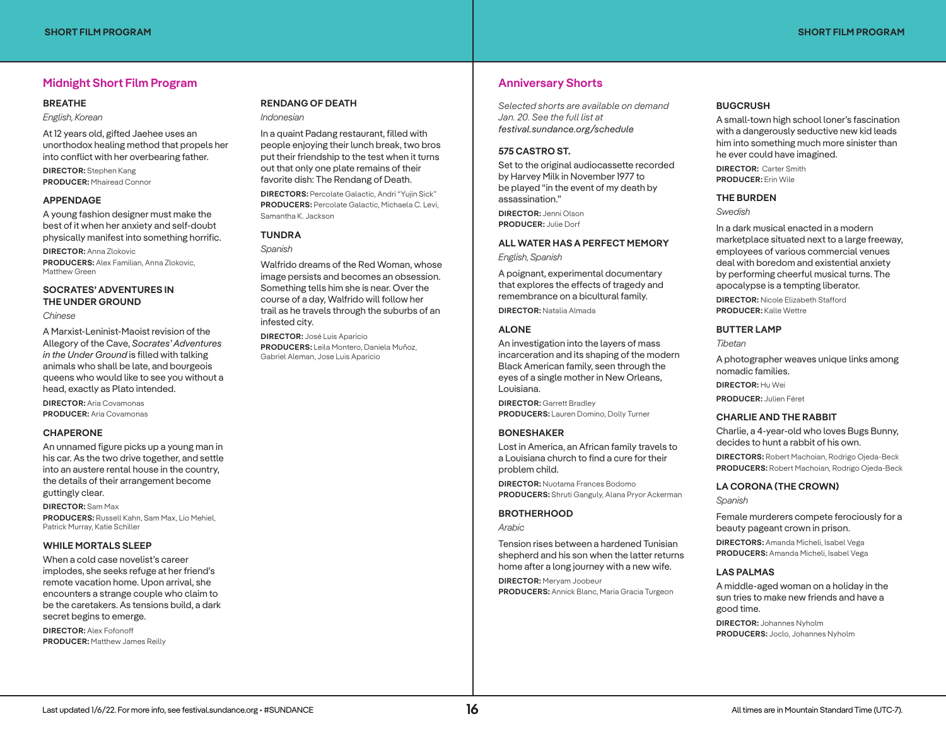# **Midnight Short Film Program**

#### **BREATHE**

*English, Korean*

At 12 years old, gifted Jaehee uses an unorthodox healing method that propels her into conflict with her overbearing father.

**DIRECTOR:** Stephen Kang **PRODUCER:** Mhairead Connor

#### **APPENDAGE**

A young fashion designer must make the best of it when her anxiety and self-doubt physically manifest into something horrific.

**DIRECTOR:** Anna Zlokovic **PRODUCERS:** Alex Familian, Anna Zlokovic, Matthew Green

# **SOCRATES' ADVENTURES IN THE UNDER GROUND**

*Chinese*

A Marxist-Leninist-Maoist revision of the Allegory of the Cave, *Socrates' Adventures in the Under Ground* is filled with talking animals who shall be late, and bourgeois queens who would like to see you without a head, exactly as Plato intended.

**DIRECTOR:** Aria Covamonas **PRODUCER:** Aria Covamonas

#### **CHAPERONE**

An unnamed figure picks up a young man in his car. As the two drive together, and settle into an austere rental house in the country, the details of their arrangement become guttingly clear.

**DIRECTOR:** Sam Max **PRODUCERS:** Russell Kahn, Sam Max, Lio Mehiel, Patrick Murray, Katie Schiller

#### **WHILE MORTALS SLEEP**

When a cold case novelist's career implodes, she seeks refuge at her friend's remote vacation home. Upon arrival, she encounters a strange couple who claim to be the caretakers. As tensions build, a dark secret begins to emerge.

**DIRECTOR:** Alex Fofonoff **PRODUCER:** Matthew James Reilly

## **RENDANG OF DEATH** *Indonesian*

In a quaint Padang restaurant, filled with people enjoying their lunch break, two bros put their friendship to the test when it turns out that only one plate remains of their favorite dish: The Rendang of Death.

**DIRECTORS:** Percolate Galactic, Andri "Yujin Sick" **PRODUCERS:** Percolate Galactic, Michaela C. Levi, Samantha K. Jackson

## **TUNDRA**

*Spanish*

Walfrido dreams of the Red Woman, whose image persists and becomes an obsession. Something tells him she is near. Over the course of a day, Walfrido will follow her trail as he travels through the suburbs of an infested city.

**DIRECTOR:** José Luis Aparicio **PRODUCERS:** Leila Montero, Daniela Muñoz, Gabriel Aleman, Jose Luis Aparicio

# **Anniversary Shorts**

*Selected shorts are available on demand Jan. 20. See the full list at festival.sundance.org/schedule*

### **575 CASTRO ST.**

Set to the original audiocassette recorded by Harvey Milk in November 1977 to be played "in the event of my death by assassination."

**DIRECTOR:** Jenni Olson **PRODUCER:** Julie Dorf

# **ALL WATER HAS A PERFECT MEMORY**

*English, Spanish*

A poignant, experimental documentary that explores the effects of tragedy and remembrance on a bicultural family.

**DIRECTOR:** Natalia Almada

#### **ALONE**

An investigation into the layers of mass incarceration and its shaping of the modern Black American family, seen through the eyes of a single mother in New Orleans, Louisiana.

**DIRECTOR:** Garrett Bradley **PRODUCERS:** Lauren Domino, Dolly Turner

### **BONESHAKER**

Lost in America, an African family travels to a Louisiana church to find a cure for their problem child.

**DIRECTOR:** Nuotama Frances Bodomo **PRODUCERS:** Shruti Ganguly, Alana Pryor Ackerman

#### **BROTHERHOOD**

*Arabic*

Tension rises between a hardened Tunisian shepherd and his son when the latter returns home after a long journey with a new wife.

**DIRECTOR:** Meryam Joobeur **PRODUCERS:** Annick Blanc, Maria Gracia Turgeon

## **BUGCRUSH**

A small-town high school loner's fascination with a dangerously seductive new kid leads him into something much more sinister than he ever could have imagined.

**DIRECTOR: Carter Smith PRODUCER:** Erin Wile

#### **THE BURDEN**

*Swedish*

In a dark musical enacted in a modern marketplace situated next to a large freeway, employees of various commercial venues deal with boredom and existential anxiety by performing cheerful musical turns. The apocalypse is a tempting liberator.

**DIRECTOR:** Nicole Elizabeth Stafford **PRODUCER:** Kalle Wettre

#### **BUTTER LAMP**

*Tibetan*

A photographer weaves unique links among nomadic families.

**DIRECTOR:** Hu Wei

**PRODUCER:** Julien Féret

#### **CHARLIE AND THE RABBIT**

Charlie, a 4-year-old who loves Bugs Bunny, decides to hunt a rabbit of his own.

**DIRECTORS:** Robert Machoian, Rodrigo Ojeda-Beck **PRODUCERS:** Robert Machoian, Rodrigo Ojeda-Beck

#### **LA CORONA (THE CROWN)**

*Spanish*

Female murderers compete ferociously for a beauty pageant crown in prison.

**DIRECTORS:** Amanda Micheli, Isabel Vega **PRODUCERS:** Amanda Micheli, Isabel Vega

#### **LAS PALMAS**

A middle-aged woman on a holiday in the sun tries to make new friends and have a good time.

**DIRECTOR:** Johannes Nyholm **PRODUCERS:** Joclo, Johannes Nyholm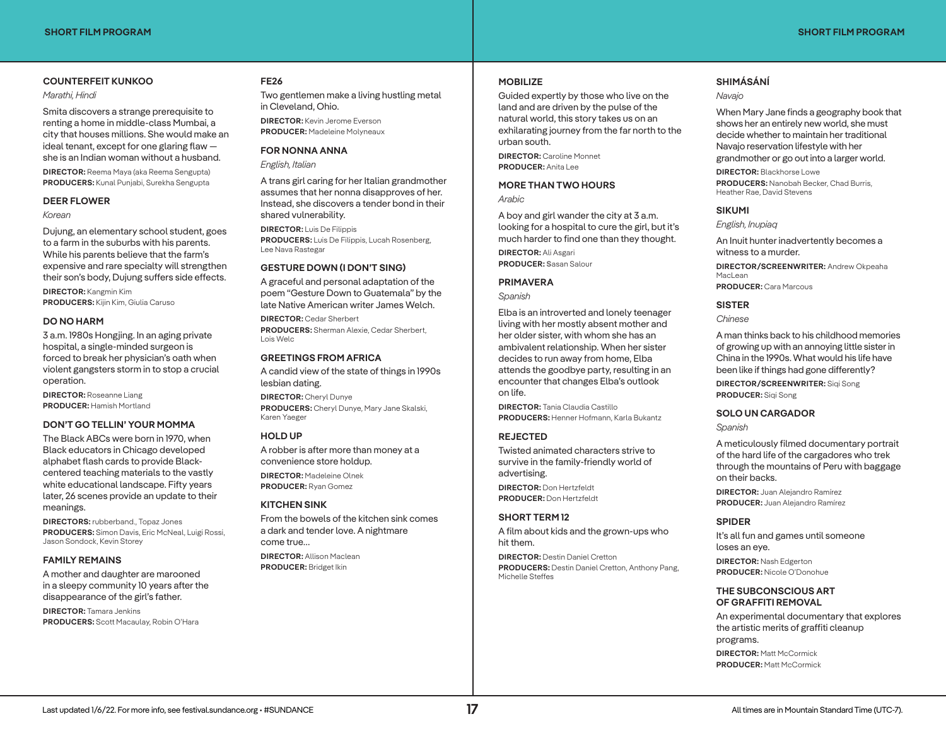#### **COUNTERFEIT KUNKOO**

#### *Marathi, Hindi*

Smita discovers a strange prerequisite to renting a home in middle-class Mumbai, a city that houses millions. She would make an ideal tenant, except for one glaring flaw she is an Indian woman without a husband.

**DIRECTOR:** Reema Maya (aka Reema Sengupta) **PRODUCERS:** Kunal Punjabi, Surekha Sengupta

#### **DEER FLOWER**

#### *Korean*

Dujung, an elementary school student, goes to a farm in the suburbs with his parents. While his parents believe that the farm's expensive and rare specialty will strengthen their son's body, Dujung suffers side effects.

**DIRECTOR:** Kangmin Kim **PRODUCERS:** Kijin Kim, Giulia Caruso

#### **DO NO HARM**

3 a.m. 1980s Hongjing. In an aging private hospital, a single-minded surgeon is forced to break her physician's oath when violent gangsters storm in to stop a crucial operation.

**DIRECTOR:** Roseanne Liang **PRODUCER:** Hamish Mortland

#### **DON'T GO TELLIN' YOUR MOMMA**

The Black ABCs were born in 1970, when Black educators in Chicago developed alphabet flash cards to provide Blackcentered teaching materials to the vastly white educational landscape. Fifty years later, 26 scenes provide an update to their meanings.

**DIRECTORS:** rubberband., Topaz Jones **PRODUCERS:** Simon Davis, Eric McNeal, Luigi Rossi, Jason Sondock, Kevin Storey

#### **FAMILY REMAINS**

A mother and daughter are marooned in a sleepy community 10 years after the disappearance of the girl's father.

**DIRECTOR:** Tamara Jenkins **PRODUCERS:** Scott Macaulay, Robin O'Hara

#### **FE26**

Two gentlemen make a living hustling metal in Cleveland, Ohio. **DIRECTOR:** Kevin Jerome Everson

**PRODUCER:** Madeleine Molyneaux

#### **FOR NONNA ANNA**

*English, Italian*

A trans girl caring for her Italian grandmother assumes that her nonna disapproves of her. Instead, she discovers a tender bond in their shared vulnerability.

**DIRECTOR:** Luis De Filippis **PRODUCERS:** Luis De Filippis, Lucah Rosenberg, Lee Nava Rastegar

#### **GESTURE DOWN (I DON'T SING)**

A graceful and personal adaptation of the poem "Gesture Down to Guatemala" by the late Native American writer James Welch.

**DIRECTOR:** Cedar Sherbert **PRODUCERS:** Sherman Alexie, Cedar Sherbert, Lois Welc

## **GREETINGS FROM AFRICA**

A candid view of the state of things in 1990s lesbian dating. **DIRECTOR:** Cheryl Dunye

**PRODUCERS:** Cheryl Dunye, Mary Jane Skalski, Karen Yaeger

#### **HOLD UP**

A robber is after more than money at a convenience store holdup.

**DIRECTOR:** Madeleine Olnek **PRODUCER:** Ryan Gomez

#### **KITCHEN SINK**

From the bowels of the kitchen sink comes a dark and tender love. A nightmare come true…

**DIRECTOR:** Allison Maclean **PRODUCER:** Bridget Ikin

#### **MOBILIZE**

Guided expertly by those who live on the land and are driven by the pulse of the natural world, this story takes us on an exhilarating journey from the far north to the urban south.

**DIRECTOR:** Caroline Monnet **PRODUCER:** Anita Lee

#### **MORE THAN TWO HOURS**

*Arabic*

A boy and girl wander the city at 3 a.m. looking for a hospital to cure the girl, but it's much harder to find one than they thought.

**DIRECTOR:** Ali Asgari **PRODUCER: S**asan Salour

# **PRIMAVERA**

*Spanish*

Elba is an introverted and lonely teenager living with her mostly absent mother and her older sister, with whom she has an ambivalent relationship. When her sister decides to run away from home, Elba attends the goodbye party, resulting in an encounter that changes Elba's outlook on life.

**DIRECTOR:** Tania Claudia Castillo **PRODUCERS:** Henner Hofmann, Karla Bukantz

#### **REJECTED**

Twisted animated characters strive to survive in the family-friendly world of advertising.

**DIRECTOR:** Don Hertzfeldt **PRODUCER:** Don Hertzfeldt

## **SHORT TERM 12**

A film about kids and the grown-ups who hit them.

**DIRECTOR:** Destin Daniel Cretton **PRODUCERS:** Destin Daniel Cretton, Anthony Pang,

Michelle Steffes

### **SHIMÁSÁNÍ**

*Navajo*

When Mary Jane finds a geography book that shows her an entirely new world, she must decide whether to maintain her traditional Navajo reservation lifestyle with her grandmother or go out into a larger world.

**DIRECTOR:** Blackhorse Lowe **PRODUCERS:** Nanobah Becker, Chad Burris, Heather Rae, David Stevens

#### **SIKUMI**

*English, Inupiaq*

An Inuit hunter inadvertently becomes a witness to a murder.

**DIRECTOR/SCREENWRITER:** Andrew Okpeaha MacLean

**PRODUCER:** Cara Marcous

## **SISTER**

*Chinese*

A man thinks back to his childhood memories of growing up with an annoying little sister in China in the 1990s. What would his life have been like if things had gone differently?

**DIRECTOR/SCREENWRITER:** Siqi Song **PRODUCER:** Siqi Song

#### **SOLO UN CARGADOR**

*Spanish*

A meticulously filmed documentary portrait of the hard life of the cargadores who trek through the mountains of Peru with baggage on their backs.

**DIRECTOR:** Juan Alejandro Ramírez **PRODUCER:** Juan Alejandro Ramírez

#### **SPIDER**

It's all fun and games until someone loses an eye.

**DIRECTOR:** Nash Edgerton **PRODUCER:** Nicole O'Donohue

#### **THE SUBCONSCIOUS ART OF GRAFFITI REMOVAL**

An experimental documentary that explores the artistic merits of graffiti cleanup programs. **DIRECTOR:** Matt McCormick **PRODUCER:** Matt McCormick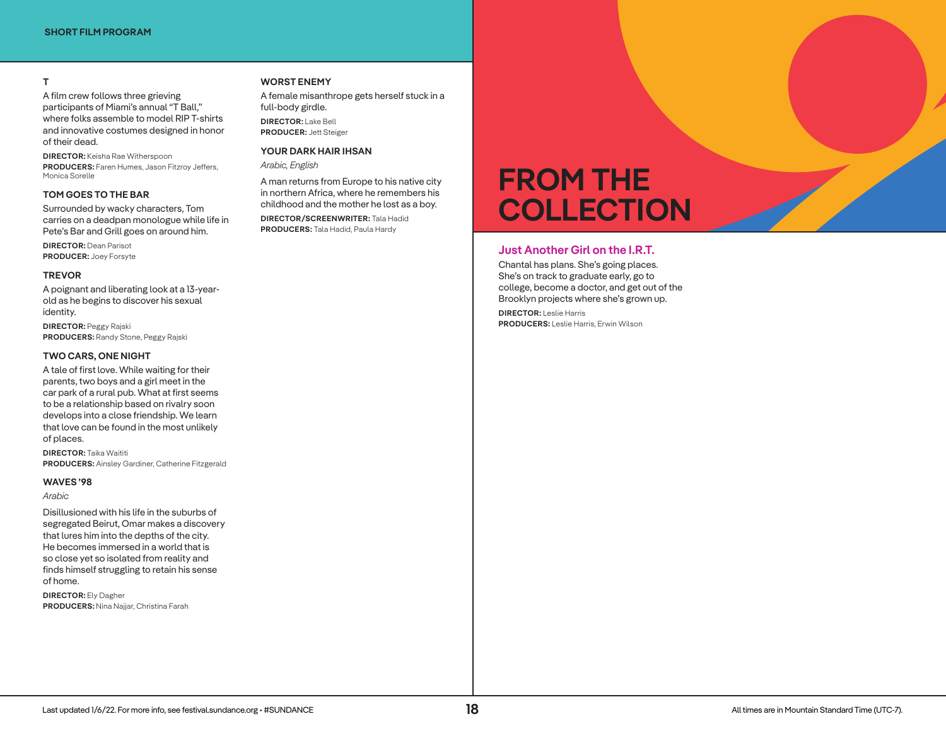## **T**

A film crew follows three grieving participants of Miami's annual "T Ball," where folks assemble to model RIP T-shirts and innovative costumes designed in honor of their dead.

**DIRECTOR:** Keisha Rae Witherspoon **PRODUCERS:** Faren Humes, Jason Fitzroy Jeffers, Monica Sorelle

#### **TOM GOES TO THE BAR**

Surrounded by wacky characters, Tom carries on a deadpan monologue while life in Pete's Bar and Grill goes on around him.

**DIRECTOR:** Dean Parisot **PRODUCER:** Joey Forsyte

#### **TREVOR**

A poignant and liberating look at a 13-yearold as he begins to discover his sexual identity.

**DIRECTOR:** Peggy Rajski **PRODUCERS:** Randy Stone, Peggy Rajski

#### **TWO CARS, ONE NIGHT**

A tale of first love. While waiting for their parents, two boys and a girl meet in the car park of a rural pub. What at first seems to be a relationship based on rivalry soon develops into a close friendship. We learn that love can be found in the most unlikely of places.

**DIRECTOR:** Taika Waititi **PRODUCERS:** Ainsley Gardiner, Catherine Fitzgerald

### **WAVES '98**

*Arabic*

Disillusioned with his life in the suburbs of segregated Beirut, Omar makes a discovery that lures him into the depths of the city. He becomes immersed in a world that is so close yet so isolated from reality and finds himself struggling to retain his sense of home.

**DIRECTOR:** Ely Dagher **PRODUCERS:** Nina Najjar, Christina Farah

#### **WORST ENEMY**

A female misanthrope gets herself stuck in a full-body girdle. **DIRECTOR:** Lake Bell **PRODUCER:** Jett Steiger

# **YOUR DARK HAIR IHSAN**

*Arabic, English*

A man returns from Europe to his native city in northern Africa, where he remembers his childhood and the mother he lost as a boy. **DIRECTOR/SCREENWRITER:** Tala Hadid **PRODUCERS:** Tala Hadid, Paula Hardy

# **FROM THE COLLECTION**

# **Just Another Girl on the I.R.T.**

Chantal has plans. She's going places. She's on track to graduate early, go to college, become a doctor, and get out of the Brooklyn projects where she's grown up.

**DIRECTOR:** Leslie Harris **PRODUCERS:** Leslie Harris, Erwin Wilson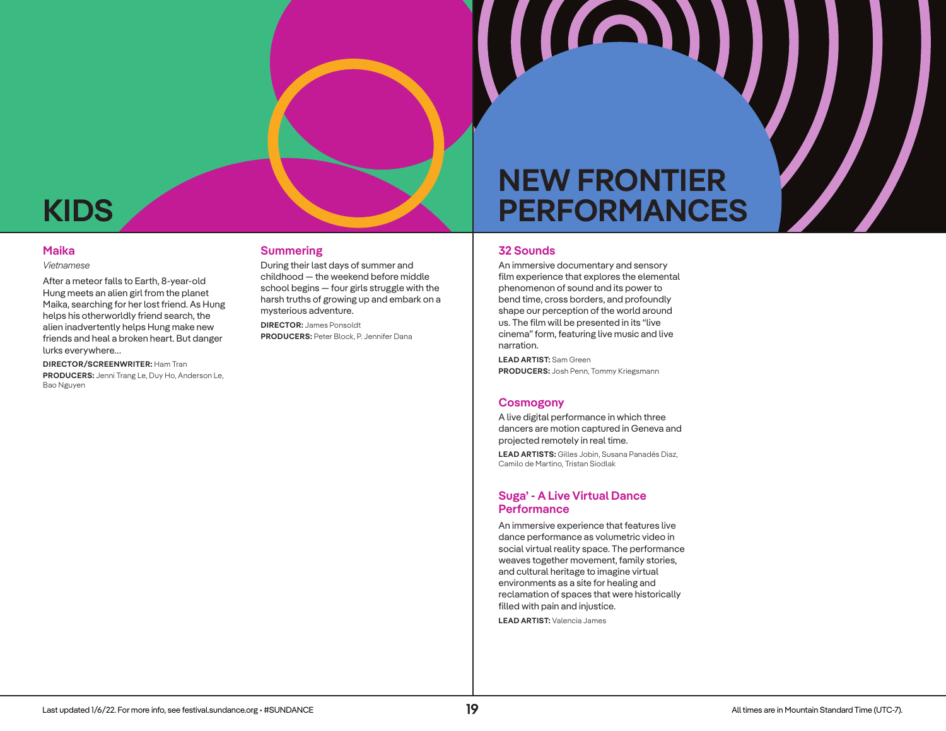# **KIDS**

# **Maika**

#### *Vietnamese*

After a meteor falls to Earth, 8-year-old Hung meets an alien girl from the planet Maika, searching for her lost friend. As Hung helps his otherworldly friend search, the alien inadvertently helps Hung make new friends and heal a broken heart. But danger lurks everywhere…

#### **DIRECTOR/SCREENWRITER:** Ham Tran

**PRODUCERS:** Jenni Trang Le, Duy Ho, Anderson Le, Bao Nguyen

### **Summering**

During their last days of summer and childhood — the weekend before middle school begins — four girls struggle with the harsh truths of growing up and embark on a mysterious adventure.

**DIRECTOR:** James Ponsoldt **PRODUCERS:** Peter Block, P. Jennifer Dana

# **NEW FRONTIER PERFORMANCES**

(IAI)

## **32 Sounds**

An immersive documentary and sensory film experience that explores the elemental phenomenon of sound and its power to bend time, cross borders, and profoundly shape our perception of the world around us. The film will be presented in its "live cinema" form, featuring live music and live narration.

**LEAD ARTIST:** Sam Green **PRODUCERS:** Josh Penn, Tommy Kriegsmann

#### **Cosmogony**

A live digital performance in which three dancers are motion captured in Geneva and projected remotely in real time.

**LEAD ARTISTS:** Gilles Jobin, Susana Panadés Diaz, Camilo de Martino, Tristan Siodlak

# **Suga' - A Live Virtual Dance Performance**

An immersive experience that features live dance performance as volumetric video in social virtual reality space. The performance weaves together movement, family stories, and cultural heritage to imagine virtual environments as a site for healing and reclamation of spaces that were historically filled with pain and injustice.

**LEAD ARTIST:** Valencia James